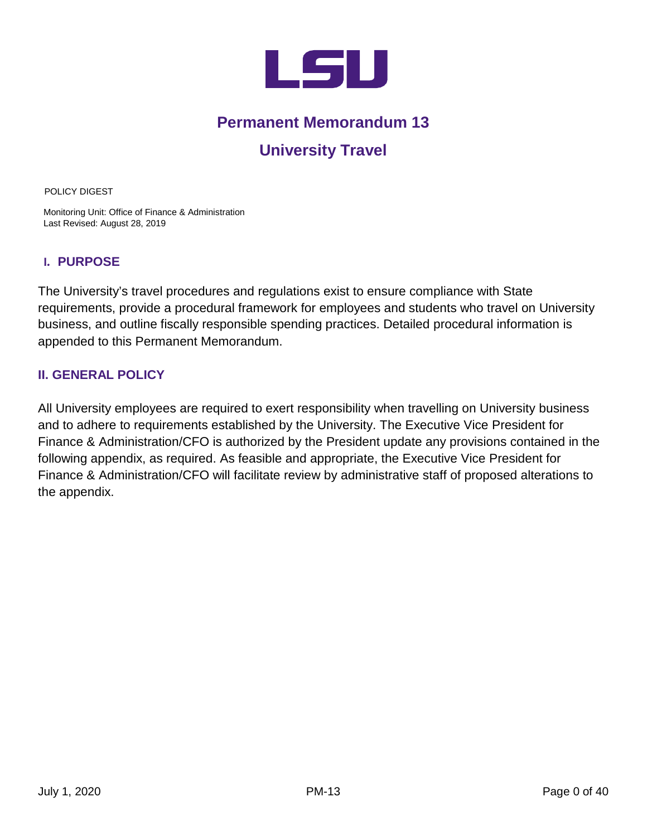

# **Permanent Memorandum 13**

# **University Travel**

POLICY DIGEST

Monitoring Unit: Office of Finance & Administration Last Revised: August 28, 2019

# **I. PURPOSE**

The University's travel procedures and regulations exist to ensure compliance with State requirements, provide a procedural framework for employees and students who travel on University business, and outline fiscally responsible spending practices. Detailed procedural information is appended to this Permanent Memorandum.

## **II. GENERAL POLICY**

All University employees are required to exert responsibility when travelling on University business and to adhere to requirements established by the University. The Executive Vice President for Finance & Administration/CFO is authorized by the President update any provisions contained in the following appendix, as required. As feasible and appropriate, the Executive Vice President for Finance & Administration/CFO will facilitate review by administrative staff of proposed alterations to the appendix.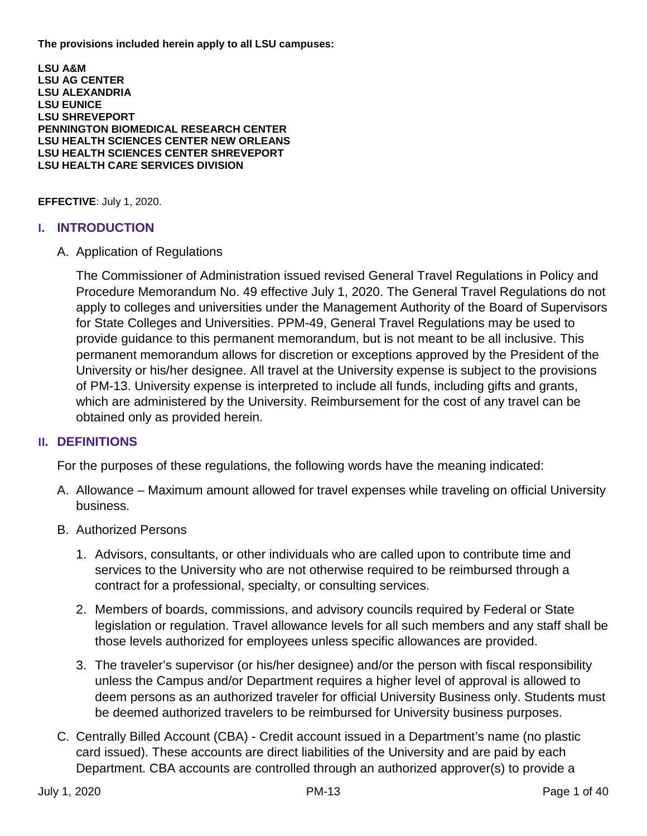**The provisions included herein apply to all LSU campuses:**

**LSU A&M LSU AG CENTER LSU ALEXANDRIA LSU EUNICE LSU SHREVEPORT PENNINGTON BIOMEDICAL RESEARCH CENTER LSU HEALTH SCIENCES CENTER NEW ORLEANS LSU HEALTH SCIENCES CENTER SHREVEPORT LSU HEALTH CARE SERVICES DIVISION**

**EFFECTIVE**: July 1, 2020.

#### **I. INTRODUCTION**

A. Application of Regulations

The Commissioner of Administration issued revised General Travel Regulations in Policy and Procedure Memorandum No. 49 effective July 1, 2020. The General Travel Regulations do not apply to colleges and universities under the Management Authority of the Board of Supervisors for State Colleges and Universities. PPM-49, General Travel Regulations may be used to provide guidance to this permanent memorandum, but is not meant to be all inclusive. This permanent memorandum allows for discretion or exceptions approved by the President of the University or his/her designee. All travel at the University expense is subject to the provisions of PM-13. University expense is interpreted to include all funds, including gifts and grants, which are administered by the University. Reimbursement for the cost of any travel can be obtained only as provided herein.

#### **II. DEFINITIONS**

For the purposes of these regulations, the following words have the meaning indicated:

- A. Allowance Maximum amount allowed for travel expenses while traveling on official University business.
- B. Authorized Persons
	- 1. Advisors, consultants, or other individuals who are called upon to contribute time and services to the University who are not otherwise required to be reimbursed through a contract for a professional, specialty, or consulting services.
	- 2. Members of boards, commissions, and advisory councils required by Federal or State legislation or regulation. Travel allowance levels for all such members and any staff shall be those levels authorized for employees unless specific allowances are provided.
	- 3. The traveler's supervisor (or his/her designee) and/or the person with fiscal responsibility unless the Campus and/or Department requires a higher level of approval is allowed to deem persons as an authorized traveler for official University Business only. Students must be deemed authorized travelers to be reimbursed for University business purposes.
- C. Centrally Billed Account (CBA) Credit account issued in a Department's name (no plastic card issued). These accounts are direct liabilities of the University and are paid by each Department. CBA accounts are controlled through an authorized approver(s) to provide a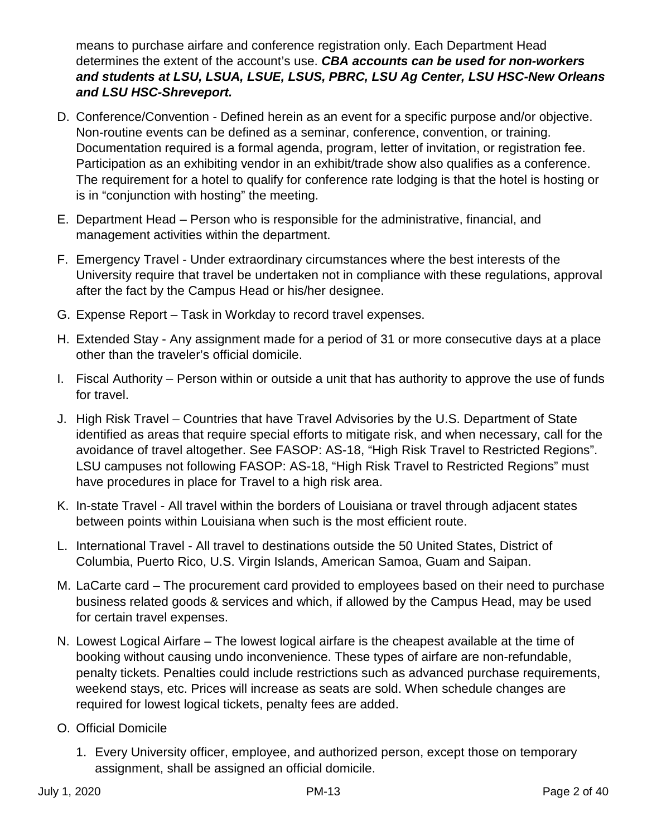means to purchase airfare and conference registration only. Each Department Head determines the extent of the account's use. *CBA accounts can be used for non-workers and students at LSU, LSUA, LSUE, LSUS, PBRC, LSU Ag Center, LSU HSC-New Orleans and LSU HSC-Shreveport.*

- D. Conference/Convention Defined herein as an event for a specific purpose and/or objective. Non-routine events can be defined as a seminar, conference, convention, or training. Documentation required is a formal agenda, program, letter of invitation, or registration fee. Participation as an exhibiting vendor in an exhibit/trade show also qualifies as a conference. The requirement for a hotel to qualify for conference rate lodging is that the hotel is hosting or is in "conjunction with hosting" the meeting.
- E. Department Head Person who is responsible for the administrative, financial, and management activities within the department.
- F. Emergency Travel Under extraordinary circumstances where the best interests of the University require that travel be undertaken not in compliance with these regulations, approval after the fact by the Campus Head or his/her designee.
- G. Expense Report Task in Workday to record travel expenses.
- H. Extended Stay Any assignment made for a period of 31 or more consecutive days at a place other than the traveler's official domicile.
- I. Fiscal Authority Person within or outside a unit that has authority to approve the use of funds for travel.
- J. High Risk Travel Countries that have Travel Advisories by the U.S. Department of State identified as areas that require special efforts to mitigate risk, and when necessary, call for the avoidance of travel altogether. See FASOP: AS-18, "High Risk Travel to Restricted Regions". LSU campuses not following FASOP: AS-18, "High Risk Travel to Restricted Regions" must have procedures in place for Travel to a high risk area.
- K. In-state Travel All travel within the borders of Louisiana or travel through adjacent states between points within Louisiana when such is the most efficient route.
- L. International Travel All travel to destinations outside the 50 United States, District of Columbia, Puerto Rico, U.S. Virgin Islands, American Samoa, Guam and Saipan.
- M. LaCarte card The procurement card provided to employees based on their need to purchase business related goods & services and which, if allowed by the Campus Head, may be used for certain travel expenses.
- N. Lowest Logical Airfare The lowest logical airfare is the cheapest available at the time of booking without causing undo inconvenience. These types of airfare are non-refundable, penalty tickets. Penalties could include restrictions such as advanced purchase requirements, weekend stays, etc. Prices will increase as seats are sold. When schedule changes are required for lowest logical tickets, penalty fees are added.
- O. Official Domicile
	- 1. Every University officer, employee, and authorized person, except those on temporary assignment, shall be assigned an official domicile.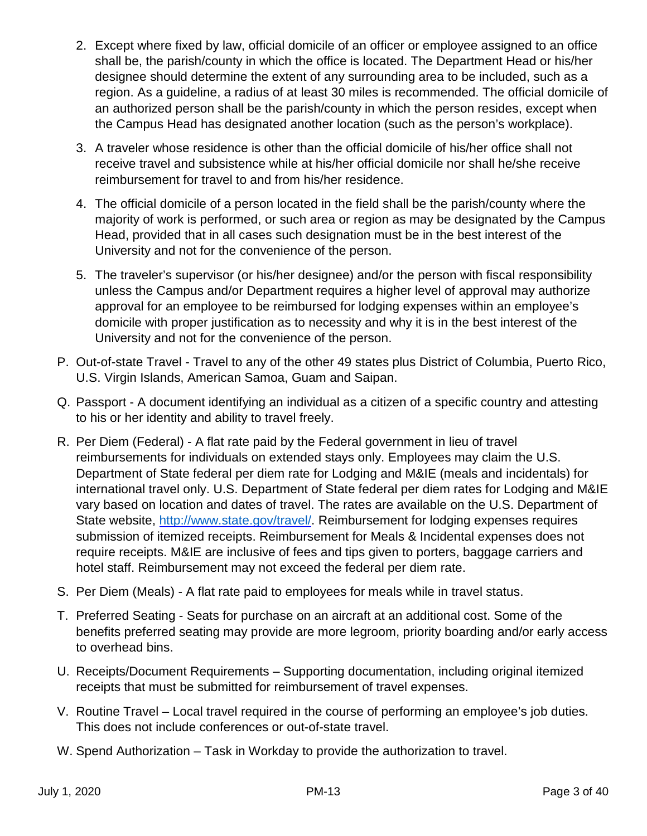- 2. Except where fixed by law, official domicile of an officer or employee assigned to an office shall be, the parish/county in which the office is located. The Department Head or his/her designee should determine the extent of any surrounding area to be included, such as a region. As a guideline, a radius of at least 30 miles is recommended. The official domicile of an authorized person shall be the parish/county in which the person resides, except when the Campus Head has designated another location (such as the person's workplace).
- 3. A traveler whose residence is other than the official domicile of his/her office shall not receive travel and subsistence while at his/her official domicile nor shall he/she receive reimbursement for travel to and from his/her residence.
- 4. The official domicile of a person located in the field shall be the parish/county where the majority of work is performed, or such area or region as may be designated by the Campus Head, provided that in all cases such designation must be in the best interest of the University and not for the convenience of the person.
- 5. The traveler's supervisor (or his/her designee) and/or the person with fiscal responsibility unless the Campus and/or Department requires a higher level of approval may authorize approval for an employee to be reimbursed for lodging expenses within an employee's domicile with proper justification as to necessity and why it is in the best interest of the University and not for the convenience of the person.
- P. Out-of-state Travel Travel to any of the other 49 states plus District of Columbia, Puerto Rico, U.S. Virgin Islands, American Samoa, Guam and Saipan.
- Q. Passport A document identifying an individual as a citizen of a specific country and attesting to his or her identity and ability to travel freely.
- R. Per Diem (Federal) A flat rate paid by the Federal government in lieu of travel reimbursements for individuals on extended stays only. Employees may claim the U.S. Department of State federal per diem rate for Lodging and M&IE (meals and incidentals) for international travel only. U.S. Department of State federal per diem rates for Lodging and M&IE vary based on location and dates of travel. The rates are available on the U.S. Department of State website, [http://www.state.gov/travel/.](http://www.state.gov/travel/) Reimbursement for lodging expenses requires submission of itemized receipts. Reimbursement for Meals & Incidental expenses does not require receipts. M&IE are inclusive of fees and tips given to porters, baggage carriers and hotel staff. Reimbursement may not exceed the federal per diem rate.
- S. Per Diem (Meals) A flat rate paid to employees for meals while in travel status.
- T. Preferred Seating Seats for purchase on an aircraft at an additional cost. Some of the benefits preferred seating may provide are more legroom, priority boarding and/or early access to overhead bins.
- U. Receipts/Document Requirements Supporting documentation, including original itemized receipts that must be submitted for reimbursement of travel expenses.
- V. Routine Travel Local travel required in the course of performing an employee's job duties. This does not include conferences or out-of-state travel.
- W. Spend Authorization Task in Workday to provide the authorization to travel.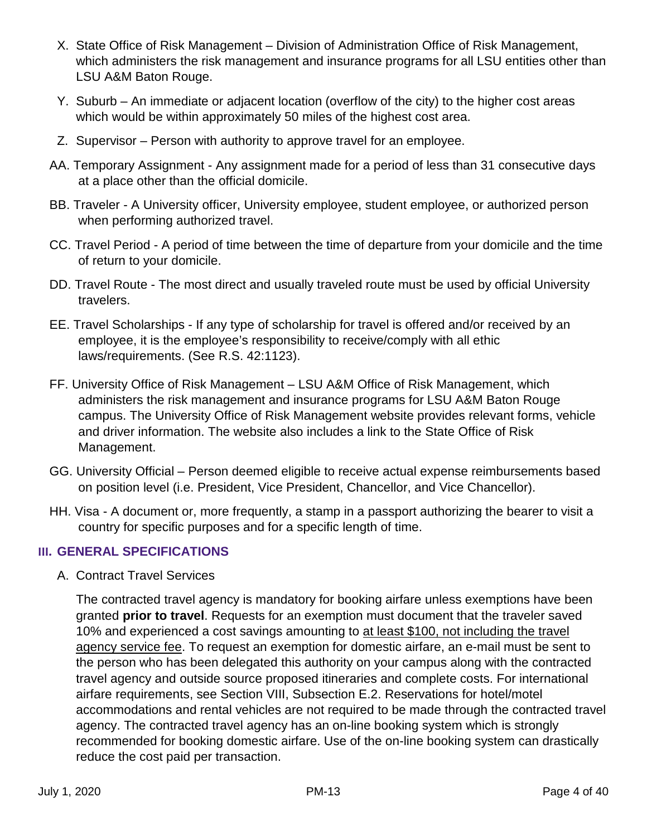- X. State Office of Risk Management Division of Administration Office of Risk Management, which administers the risk management and insurance programs for all LSU entities other than LSU A&M Baton Rouge.
- Y. Suburb An immediate or adjacent location (overflow of the city) to the higher cost areas which would be within approximately 50 miles of the highest cost area.
- Z. Supervisor Person with authority to approve travel for an employee.
- AA. Temporary Assignment Any assignment made for a period of less than 31 consecutive days at a place other than the official domicile.
- BB. Traveler A University officer, University employee, student employee, or authorized person when performing authorized travel.
- CC. Travel Period A period of time between the time of departure from your domicile and the time of return to your domicile.
- DD. Travel Route The most direct and usually traveled route must be used by official University travelers.
- EE. Travel Scholarships If any type of scholarship for travel is offered and/or received by an employee, it is the employee's responsibility to receive/comply with all ethic laws/requirements. (See R.S. 42:1123).
- FF. University Office of Risk Management LSU A&M Office of Risk Management, which administers the risk management and insurance programs for LSU A&M Baton Rouge campus. The University Office of Risk Management website provides relevant forms, vehicle and driver information. The website also includes a link to the State Office of Risk Management.
- GG. University Official Person deemed eligible to receive actual expense reimbursements based on position level (i.e. President, Vice President, Chancellor, and Vice Chancellor).
- HH. Visa A document or, more frequently, a stamp in a passport authorizing the bearer to visit a country for specific purposes and for a specific length of time.

# **III. GENERAL SPECIFICATIONS**

A. Contract Travel Services

The contracted travel agency is mandatory for booking airfare unless exemptions have been granted **prior to travel**. Requests for an exemption must document that the traveler saved 10% and experienced a cost savings amounting to at least \$100, not including the travel agency service fee. To request an exemption for domestic airfare, an e-mail must be sent to the person who has been delegated this authority on your campus along with the contracted travel agency and outside source proposed itineraries and complete costs. For international airfare requirements, see Section VIII, Subsection E.2. Reservations for hotel/motel accommodations and rental vehicles are not required to be made through the contracted travel agency. The contracted travel agency has an on-line booking system which is strongly recommended for booking domestic airfare. Use of the on-line booking system can drastically reduce the cost paid per transaction.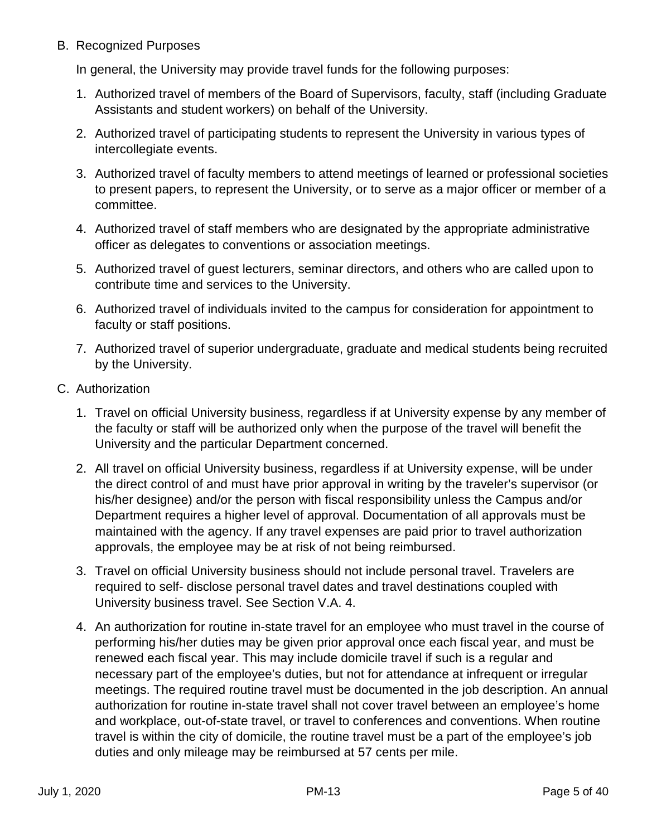B. Recognized Purposes

In general, the University may provide travel funds for the following purposes:

- 1. Authorized travel of members of the Board of Supervisors, faculty, staff (including Graduate Assistants and student workers) on behalf of the University.
- 2. Authorized travel of participating students to represent the University in various types of intercollegiate events.
- 3. Authorized travel of faculty members to attend meetings of learned or professional societies to present papers, to represent the University, or to serve as a major officer or member of a committee.
- 4. Authorized travel of staff members who are designated by the appropriate administrative officer as delegates to conventions or association meetings.
- 5. Authorized travel of guest lecturers, seminar directors, and others who are called upon to contribute time and services to the University.
- 6. Authorized travel of individuals invited to the campus for consideration for appointment to faculty or staff positions.
- 7. Authorized travel of superior undergraduate, graduate and medical students being recruited by the University.
- C. Authorization
	- 1. Travel on official University business, regardless if at University expense by any member of the faculty or staff will be authorized only when the purpose of the travel will benefit the University and the particular Department concerned.
	- 2. All travel on official University business, regardless if at University expense, will be under the direct control of and must have prior approval in writing by the traveler's supervisor (or his/her designee) and/or the person with fiscal responsibility unless the Campus and/or Department requires a higher level of approval. Documentation of all approvals must be maintained with the agency. If any travel expenses are paid prior to travel authorization approvals, the employee may be at risk of not being reimbursed.
	- 3. Travel on official University business should not include personal travel. Travelers are required to self- disclose personal travel dates and travel destinations coupled with University business travel. See Section V.A. 4.
	- 4. An authorization for routine in-state travel for an employee who must travel in the course of performing his/her duties may be given prior approval once each fiscal year, and must be renewed each fiscal year. This may include domicile travel if such is a regular and necessary part of the employee's duties, but not for attendance at infrequent or irregular meetings. The required routine travel must be documented in the job description. An annual authorization for routine in-state travel shall not cover travel between an employee's home and workplace, out-of-state travel, or travel to conferences and conventions. When routine travel is within the city of domicile, the routine travel must be a part of the employee's job duties and only mileage may be reimbursed at 57 cents per mile.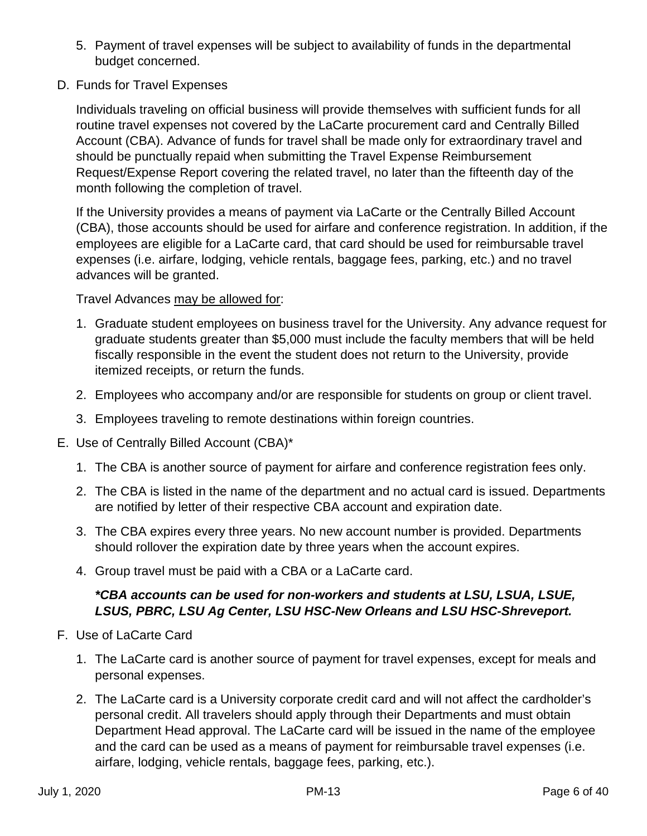- 5. Payment of travel expenses will be subject to availability of funds in the departmental budget concerned.
- D. Funds for Travel Expenses

Individuals traveling on official business will provide themselves with sufficient funds for all routine travel expenses not covered by the LaCarte procurement card and Centrally Billed Account (CBA). Advance of funds for travel shall be made only for extraordinary travel and should be punctually repaid when submitting the Travel Expense Reimbursement Request/Expense Report covering the related travel, no later than the fifteenth day of the month following the completion of travel.

If the University provides a means of payment via LaCarte or the Centrally Billed Account (CBA), those accounts should be used for airfare and conference registration. In addition, if the employees are eligible for a LaCarte card, that card should be used for reimbursable travel expenses (i.e. airfare, lodging, vehicle rentals, baggage fees, parking, etc.) and no travel advances will be granted.

Travel Advances may be allowed for:

- 1. Graduate student employees on business travel for the University. Any advance request for graduate students greater than \$5,000 must include the faculty members that will be held fiscally responsible in the event the student does not return to the University, provide itemized receipts, or return the funds.
- 2. Employees who accompany and/or are responsible for students on group or client travel.
- 3. Employees traveling to remote destinations within foreign countries.
- E. Use of Centrally Billed Account (CBA)\*
	- 1. The CBA is another source of payment for airfare and conference registration fees only.
	- 2. The CBA is listed in the name of the department and no actual card is issued. Departments are notified by letter of their respective CBA account and expiration date.
	- 3. The CBA expires every three years. No new account number is provided. Departments should rollover the expiration date by three years when the account expires.
	- 4. Group travel must be paid with a CBA or a LaCarte card.

# *\*CBA accounts can be used for non-workers and students at LSU, LSUA, LSUE, LSUS, PBRC, LSU Ag Center, LSU HSC-New Orleans and LSU HSC-Shreveport.*

- F. Use of LaCarte Card
	- 1. The LaCarte card is another source of payment for travel expenses, except for meals and personal expenses.
	- 2. The LaCarte card is a University corporate credit card and will not affect the cardholder's personal credit. All travelers should apply through their Departments and must obtain Department Head approval. The LaCarte card will be issued in the name of the employee and the card can be used as a means of payment for reimbursable travel expenses (i.e. airfare, lodging, vehicle rentals, baggage fees, parking, etc.).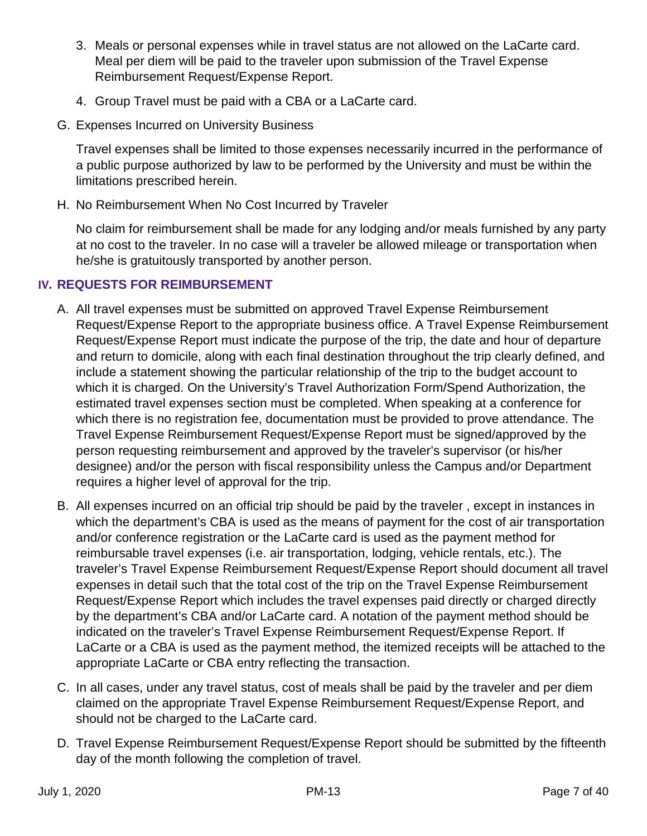- 3. Meals or personal expenses while in travel status are not allowed on the LaCarte card. Meal per diem will be paid to the traveler upon submission of the Travel Expense Reimbursement Request/Expense Report.
- 4. Group Travel must be paid with a CBA or a LaCarte card.
- G. Expenses Incurred on University Business

Travel expenses shall be limited to those expenses necessarily incurred in the performance of a public purpose authorized by law to be performed by the University and must be within the limitations prescribed herein.

H. No Reimbursement When No Cost Incurred by Traveler

No claim for reimbursement shall be made for any lodging and/or meals furnished by any party at no cost to the traveler. In no case will a traveler be allowed mileage or transportation when he/she is gratuitously transported by another person.

# **IV. REQUESTS FOR REIMBURSEMENT**

- A. All travel expenses must be submitted on approved Travel Expense Reimbursement Request/Expense Report to the appropriate business office. A Travel Expense Reimbursement Request/Expense Report must indicate the purpose of the trip, the date and hour of departure and return to domicile, along with each final destination throughout the trip clearly defined, and include a statement showing the particular relationship of the trip to the budget account to which it is charged. On the University's Travel Authorization Form/Spend Authorization, the estimated travel expenses section must be completed. When speaking at a conference for which there is no registration fee, documentation must be provided to prove attendance. The Travel Expense Reimbursement Request/Expense Report must be signed/approved by the person requesting reimbursement and approved by the traveler's supervisor (or his/her designee) and/or the person with fiscal responsibility unless the Campus and/or Department requires a higher level of approval for the trip.
- B. All expenses incurred on an official trip should be paid by the traveler , except in instances in which the department's CBA is used as the means of payment for the cost of air transportation and/or conference registration or the LaCarte card is used as the payment method for reimbursable travel expenses (i.e. air transportation, lodging, vehicle rentals, etc.). The traveler's Travel Expense Reimbursement Request/Expense Report should document all travel expenses in detail such that the total cost of the trip on the Travel Expense Reimbursement Request/Expense Report which includes the travel expenses paid directly or charged directly by the department's CBA and/or LaCarte card. A notation of the payment method should be indicated on the traveler's Travel Expense Reimbursement Request/Expense Report. If LaCarte or a CBA is used as the payment method, the itemized receipts will be attached to the appropriate LaCarte or CBA entry reflecting the transaction.
- C. In all cases, under any travel status, cost of meals shall be paid by the traveler and per diem claimed on the appropriate Travel Expense Reimbursement Request/Expense Report, and should not be charged to the LaCarte card.
- D. Travel Expense Reimbursement Request/Expense Report should be submitted by the fifteenth day of the month following the completion of travel.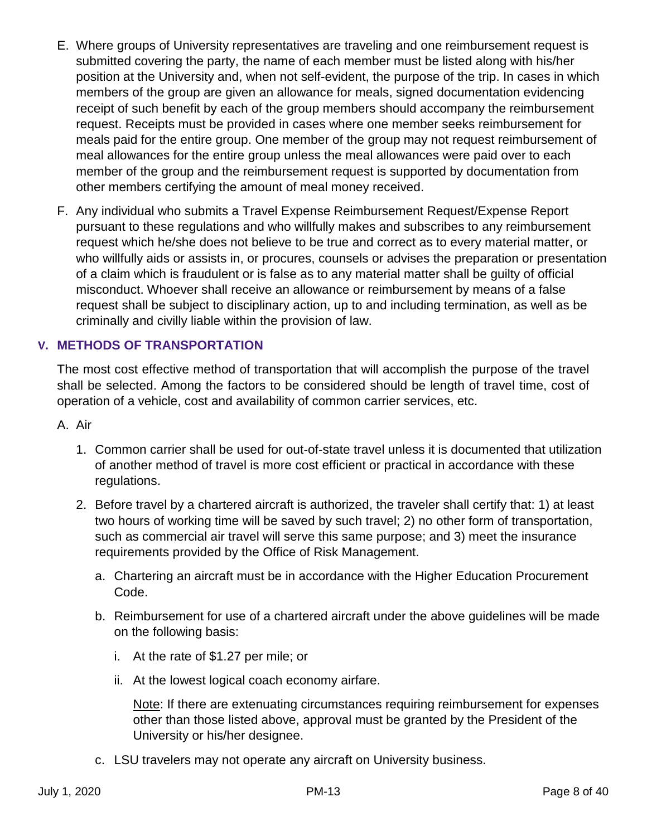- E. Where groups of University representatives are traveling and one reimbursement request is submitted covering the party, the name of each member must be listed along with his/her position at the University and, when not self-evident, the purpose of the trip. In cases in which members of the group are given an allowance for meals, signed documentation evidencing receipt of such benefit by each of the group members should accompany the reimbursement request. Receipts must be provided in cases where one member seeks reimbursement for meals paid for the entire group. One member of the group may not request reimbursement of meal allowances for the entire group unless the meal allowances were paid over to each member of the group and the reimbursement request is supported by documentation from other members certifying the amount of meal money received.
- F. Any individual who submits a Travel Expense Reimbursement Request/Expense Report pursuant to these regulations and who willfully makes and subscribes to any reimbursement request which he/she does not believe to be true and correct as to every material matter, or who willfully aids or assists in, or procures, counsels or advises the preparation or presentation of a claim which is fraudulent or is false as to any material matter shall be guilty of official misconduct. Whoever shall receive an allowance or reimbursement by means of a false request shall be subject to disciplinary action, up to and including termination, as well as be criminally and civilly liable within the provision of law.

# **V. METHODS OF TRANSPORTATION**

The most cost effective method of transportation that will accomplish the purpose of the travel shall be selected. Among the factors to be considered should be length of travel time, cost of operation of a vehicle, cost and availability of common carrier services, etc.

A. Air

- 1. Common carrier shall be used for out-of-state travel unless it is documented that utilization of another method of travel is more cost efficient or practical in accordance with these regulations.
- 2. Before travel by a chartered aircraft is authorized, the traveler shall certify that: 1) at least two hours of working time will be saved by such travel; 2) no other form of transportation, such as commercial air travel will serve this same purpose; and 3) meet the insurance requirements provided by the Office of Risk Management.
	- a. Chartering an aircraft must be in accordance with the Higher Education Procurement Code.
	- b. Reimbursement for use of a chartered aircraft under the above guidelines will be made on the following basis:
		- i. At the rate of \$1.27 per mile; or
		- ii. At the lowest logical coach economy airfare.

Note: If there are extenuating circumstances requiring reimbursement for expenses other than those listed above, approval must be granted by the President of the University or his/her designee.

c. LSU travelers may not operate any aircraft on University business.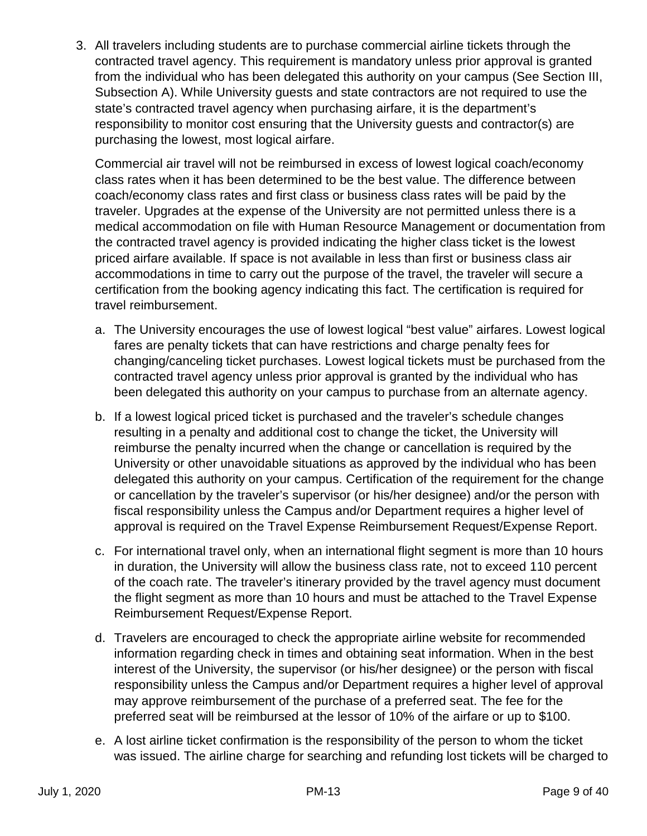3. All travelers including students are to purchase commercial airline tickets through the contracted travel agency. This requirement is mandatory unless prior approval is granted from the individual who has been delegated this authority on your campus (See Section III, Subsection A). While University guests and state contractors are not required to use the state's contracted travel agency when purchasing airfare, it is the department's responsibility to monitor cost ensuring that the University guests and contractor(s) are purchasing the lowest, most logical airfare.

Commercial air travel will not be reimbursed in excess of lowest logical coach/economy class rates when it has been determined to be the best value. The difference between coach/economy class rates and first class or business class rates will be paid by the traveler. Upgrades at the expense of the University are not permitted unless there is a medical accommodation on file with Human Resource Management or documentation from the contracted travel agency is provided indicating the higher class ticket is the lowest priced airfare available. If space is not available in less than first or business class air accommodations in time to carry out the purpose of the travel, the traveler will secure a certification from the booking agency indicating this fact. The certification is required for travel reimbursement.

- a. The University encourages the use of lowest logical "best value" airfares. Lowest logical fares are penalty tickets that can have restrictions and charge penalty fees for changing/canceling ticket purchases. Lowest logical tickets must be purchased from the contracted travel agency unless prior approval is granted by the individual who has been delegated this authority on your campus to purchase from an alternate agency.
- b. If a lowest logical priced ticket is purchased and the traveler's schedule changes resulting in a penalty and additional cost to change the ticket, the University will reimburse the penalty incurred when the change or cancellation is required by the University or other unavoidable situations as approved by the individual who has been delegated this authority on your campus. Certification of the requirement for the change or cancellation by the traveler's supervisor (or his/her designee) and/or the person with fiscal responsibility unless the Campus and/or Department requires a higher level of approval is required on the Travel Expense Reimbursement Request/Expense Report.
- c. For international travel only, when an international flight segment is more than 10 hours in duration, the University will allow the business class rate, not to exceed 110 percent of the coach rate. The traveler's itinerary provided by the travel agency must document the flight segment as more than 10 hours and must be attached to the Travel Expense Reimbursement Request/Expense Report.
- d. Travelers are encouraged to check the appropriate airline website for recommended information regarding check in times and obtaining seat information. When in the best interest of the University, the supervisor (or his/her designee) or the person with fiscal responsibility unless the Campus and/or Department requires a higher level of approval may approve reimbursement of the purchase of a preferred seat. The fee for the preferred seat will be reimbursed at the lessor of 10% of the airfare or up to \$100.
- e. A lost airline ticket confirmation is the responsibility of the person to whom the ticket was issued. The airline charge for searching and refunding lost tickets will be charged to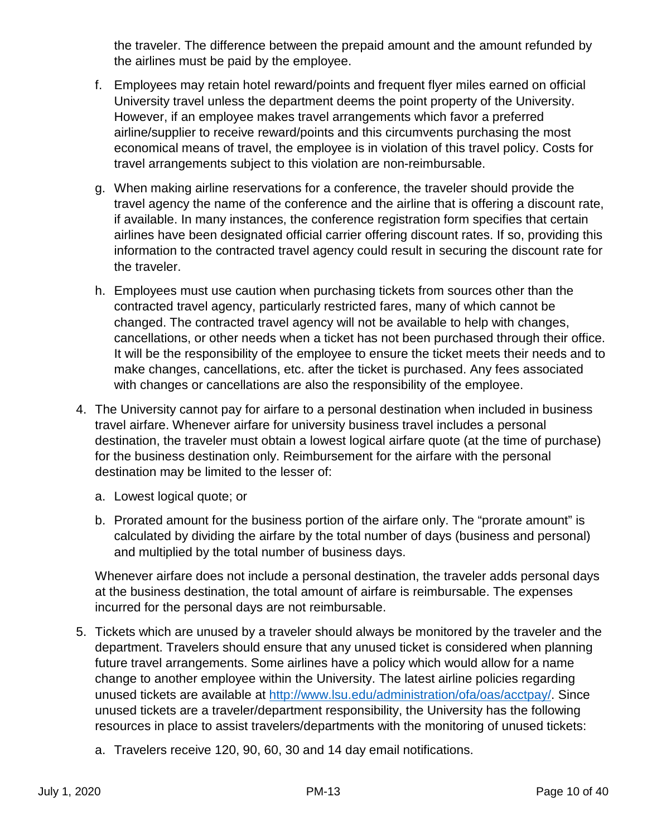the traveler. The difference between the prepaid amount and the amount refunded by the airlines must be paid by the employee.

- f. Employees may retain hotel reward/points and frequent flyer miles earned on official University travel unless the department deems the point property of the University. However, if an employee makes travel arrangements which favor a preferred airline/supplier to receive reward/points and this circumvents purchasing the most economical means of travel, the employee is in violation of this travel policy. Costs for travel arrangements subject to this violation are non-reimbursable.
- g. When making airline reservations for a conference, the traveler should provide the travel agency the name of the conference and the airline that is offering a discount rate, if available. In many instances, the conference registration form specifies that certain airlines have been designated official carrier offering discount rates. If so, providing this information to the contracted travel agency could result in securing the discount rate for the traveler.
- h. Employees must use caution when purchasing tickets from sources other than the contracted travel agency, particularly restricted fares, many of which cannot be changed. The contracted travel agency will not be available to help with changes, cancellations, or other needs when a ticket has not been purchased through their office. It will be the responsibility of the employee to ensure the ticket meets their needs and to make changes, cancellations, etc. after the ticket is purchased. Any fees associated with changes or cancellations are also the responsibility of the employee.
- 4. The University cannot pay for airfare to a personal destination when included in business travel airfare. Whenever airfare for university business travel includes a personal destination, the traveler must obtain a lowest logical airfare quote (at the time of purchase) for the business destination only. Reimbursement for the airfare with the personal destination may be limited to the lesser of:
	- a. Lowest logical quote; or
	- b. Prorated amount for the business portion of the airfare only. The "prorate amount" is calculated by dividing the airfare by the total number of days (business and personal) and multiplied by the total number of business days.

Whenever airfare does not include a personal destination, the traveler adds personal days at the business destination, the total amount of airfare is reimbursable. The expenses incurred for the personal days are not reimbursable.

- 5. Tickets which are unused by a traveler should always be monitored by the traveler and the department. Travelers should ensure that any unused ticket is considered when planning future travel arrangements. Some airlines have a policy which would allow for a name change to another employee within the University. The latest airline policies regarding unused tickets are available at [http://www.lsu.edu/administration/ofa/oas/acctpay/.](http://www.lsu.edu/administration/ofa/oas/acctpay/) Since unused tickets are a traveler/department responsibility, the University has the following resources in place to assist travelers/departments with the monitoring of unused tickets:
	- a. Travelers receive 120, 90, 60, 30 and 14 day email notifications.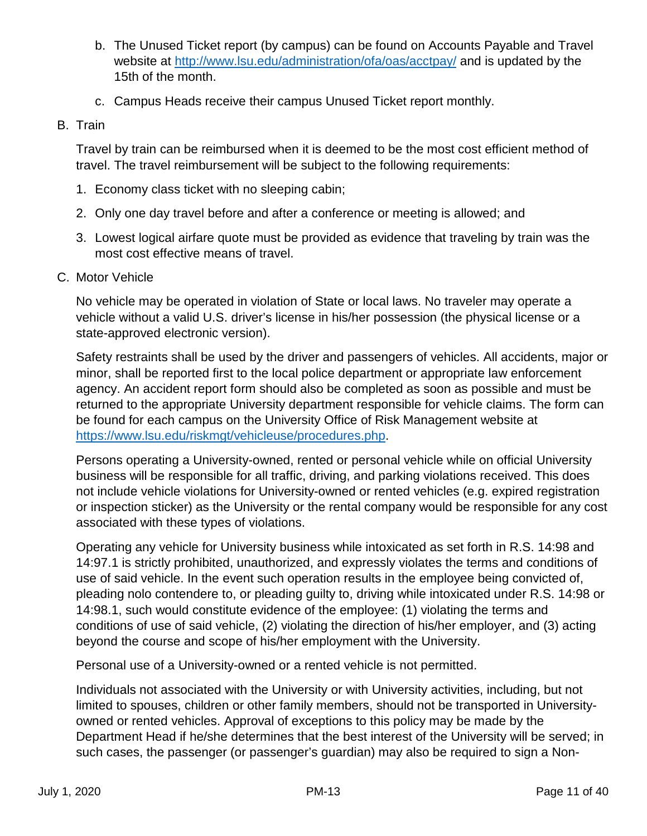- b. The Unused Ticket report (by campus) can be found on Accounts Payable and Travel website at<http://www.lsu.edu/administration/ofa/oas/acctpay/> and is updated by the 15th of the month.
- c. Campus Heads receive their campus Unused Ticket report monthly.

## B. Train

Travel by train can be reimbursed when it is deemed to be the most cost efficient method of travel. The travel reimbursement will be subject to the following requirements:

- 1. Economy class ticket with no sleeping cabin;
- 2. Only one day travel before and after a conference or meeting is allowed; and
- 3. Lowest logical airfare quote must be provided as evidence that traveling by train was the most cost effective means of travel.
- C. Motor Vehicle

No vehicle may be operated in violation of State or local laws. No traveler may operate a vehicle without a valid U.S. driver's license in his/her possession (the physical license or a state-approved electronic version).

Safety restraints shall be used by the driver and passengers of vehicles. All accidents, major or minor, shall be reported first to the local police department or appropriate law enforcement agency. An accident report form should also be completed as soon as possible and must be returned to the appropriate University department responsible for vehicle claims. The form can be found for each campus on the University Office of Risk Management website at [https://www.lsu.edu/riskmgt/vehicleuse/procedures.php.](https://www.lsu.edu/riskmgt/vehicleuse/procedures.php)

Persons operating a University-owned, rented or personal vehicle while on official University business will be responsible for all traffic, driving, and parking violations received. This does not include vehicle violations for University-owned or rented vehicles (e.g. expired registration or inspection sticker) as the University or the rental company would be responsible for any cost associated with these types of violations.

Operating any vehicle for University business while intoxicated as set forth in R.S. 14:98 and 14:97.1 is strictly prohibited, unauthorized, and expressly violates the terms and conditions of use of said vehicle. In the event such operation results in the employee being convicted of, pleading nolo contendere to, or pleading guilty to, driving while intoxicated under R.S. 14:98 or 14:98.1, such would constitute evidence of the employee: (1) violating the terms and conditions of use of said vehicle, (2) violating the direction of his/her employer, and (3) acting beyond the course and scope of his/her employment with the University.

Personal use of a University-owned or a rented vehicle is not permitted.

Individuals not associated with the University or with University activities, including, but not limited to spouses, children or other family members, should not be transported in Universityowned or rented vehicles. Approval of exceptions to this policy may be made by the Department Head if he/she determines that the best interest of the University will be served; in such cases, the passenger (or passenger's guardian) may also be required to sign a Non-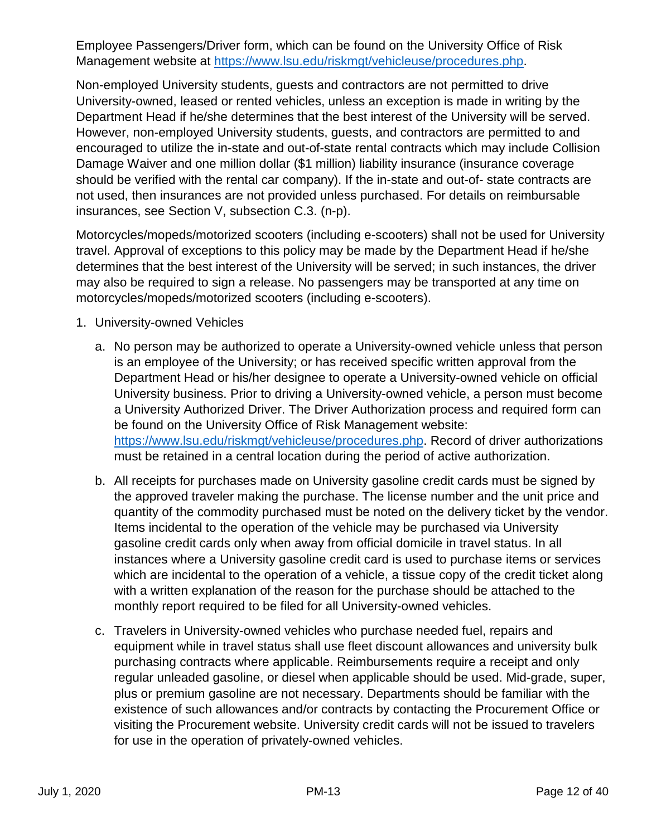Employee Passengers/Driver form, which can be found on the University Office of Risk Management website at [https://www.lsu.edu/riskmgt/vehicleuse/procedures.php.](https://www.lsu.edu/riskmgt/vehicleuse/procedures.php)

Non-employed University students, guests and contractors are not permitted to drive University-owned, leased or rented vehicles, unless an exception is made in writing by the Department Head if he/she determines that the best interest of the University will be served. However, non-employed University students, guests, and contractors are permitted to and encouraged to utilize the in-state and out-of-state rental contracts which may include Collision Damage Waiver and one million dollar (\$1 million) liability insurance (insurance coverage should be verified with the rental car company). If the in-state and out-of- state contracts are not used, then insurances are not provided unless purchased. For details on reimbursable insurances, see Section V, subsection C.3. (n-p).

Motorcycles/mopeds/motorized scooters (including e-scooters) shall not be used for University travel. Approval of exceptions to this policy may be made by the Department Head if he/she determines that the best interest of the University will be served; in such instances, the driver may also be required to sign a release. No passengers may be transported at any time on motorcycles/mopeds/motorized scooters (including e-scooters).

- 1. University-owned Vehicles
	- a. No person may be authorized to operate a University-owned vehicle unless that person is an employee of the University; or has received specific written approval from the Department Head or his/her designee to operate a University-owned vehicle on official University business. Prior to driving a University-owned vehicle, a person must become a University Authorized Driver. The Driver Authorization process and required form can be found on the University Office of Risk Management website: [https://www.lsu.edu/riskmgt/vehicleuse/procedures.php.](https://www.lsu.edu/riskmgt/vehicleuse/procedures.php) Record of driver authorizations must be retained in a central location during the period of active authorization.
	- b. All receipts for purchases made on University gasoline credit cards must be signed by the approved traveler making the purchase. The license number and the unit price and quantity of the commodity purchased must be noted on the delivery ticket by the vendor. Items incidental to the operation of the vehicle may be purchased via University gasoline credit cards only when away from official domicile in travel status. In all instances where a University gasoline credit card is used to purchase items or services which are incidental to the operation of a vehicle, a tissue copy of the credit ticket along with a written explanation of the reason for the purchase should be attached to the monthly report required to be filed for all University-owned vehicles.
	- c. Travelers in University-owned vehicles who purchase needed fuel, repairs and equipment while in travel status shall use fleet discount allowances and university bulk purchasing contracts where applicable. Reimbursements require a receipt and only regular unleaded gasoline, or diesel when applicable should be used. Mid-grade, super, plus or premium gasoline are not necessary. Departments should be familiar with the existence of such allowances and/or contracts by contacting the Procurement Office or visiting the Procurement website. University credit cards will not be issued to travelers for use in the operation of privately-owned vehicles.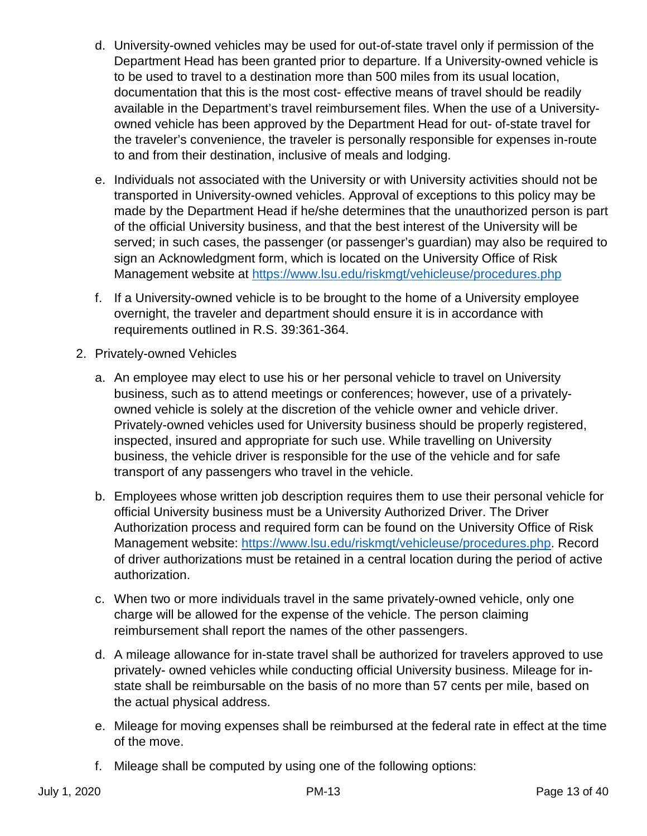- d. University-owned vehicles may be used for out-of-state travel only if permission of the Department Head has been granted prior to departure. If a University-owned vehicle is to be used to travel to a destination more than 500 miles from its usual location, documentation that this is the most cost- effective means of travel should be readily available in the Department's travel reimbursement files. When the use of a Universityowned vehicle has been approved by the Department Head for out- of-state travel for the traveler's convenience, the traveler is personally responsible for expenses in-route to and from their destination, inclusive of meals and lodging.
- e. Individuals not associated with the University or with University activities should not be transported in University-owned vehicles. Approval of exceptions to this policy may be made by the Department Head if he/she determines that the unauthorized person is part of the official University business, and that the best interest of the University will be served; in such cases, the passenger (or passenger's guardian) may also be required to sign an Acknowledgment form, which is located on the University Office of Risk Management website at<https://www.lsu.edu/riskmgt/vehicleuse/procedures.php>
- f. If a University-owned vehicle is to be brought to the home of a University employee overnight, the traveler and department should ensure it is in accordance with requirements outlined in R.S. 39:361-364.
- 2. Privately-owned Vehicles
	- a. An employee may elect to use his or her personal vehicle to travel on University business, such as to attend meetings or conferences; however, use of a privatelyowned vehicle is solely at the discretion of the vehicle owner and vehicle driver. Privately-owned vehicles used for University business should be properly registered, inspected, insured and appropriate for such use. While travelling on University business, the vehicle driver is responsible for the use of the vehicle and for safe transport of any passengers who travel in the vehicle.
	- b. Employees whose written job description requires them to use their personal vehicle for official University business must be a University Authorized Driver. The Driver Authorization process and required form can be found on the University Office of Risk Management website: [https://www.lsu.edu/riskmgt/vehicleuse/procedures.php.](https://www.lsu.edu/riskmgt/vehicleuse/procedures.php) Record of driver authorizations must be retained in a central location during the period of active authorization.
	- c. When two or more individuals travel in the same privately-owned vehicle, only one charge will be allowed for the expense of the vehicle. The person claiming reimbursement shall report the names of the other passengers.
	- d. A mileage allowance for in-state travel shall be authorized for travelers approved to use privately- owned vehicles while conducting official University business. Mileage for instate shall be reimbursable on the basis of no more than 57 cents per mile, based on the actual physical address.
	- e. Mileage for moving expenses shall be reimbursed at the federal rate in effect at the time of the move.
	- f. Mileage shall be computed by using one of the following options: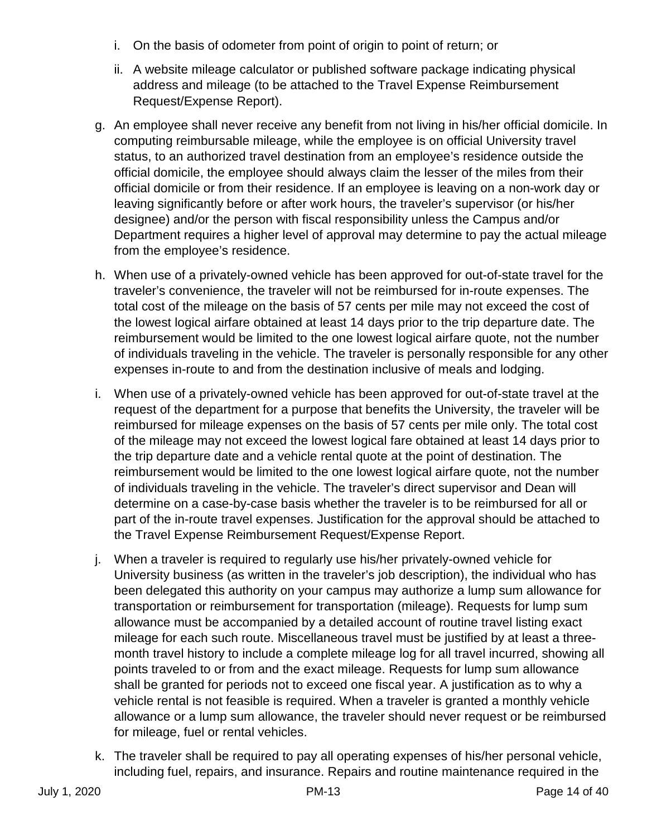- i. On the basis of odometer from point of origin to point of return; or
- ii. A website mileage calculator or published software package indicating physical address and mileage (to be attached to the Travel Expense Reimbursement Request/Expense Report).
- g. An employee shall never receive any benefit from not living in his/her official domicile. In computing reimbursable mileage, while the employee is on official University travel status, to an authorized travel destination from an employee's residence outside the official domicile, the employee should always claim the lesser of the miles from their official domicile or from their residence. If an employee is leaving on a non-work day or leaving significantly before or after work hours, the traveler's supervisor (or his/her designee) and/or the person with fiscal responsibility unless the Campus and/or Department requires a higher level of approval may determine to pay the actual mileage from the employee's residence.
- h. When use of a privately-owned vehicle has been approved for out-of-state travel for the traveler's convenience, the traveler will not be reimbursed for in-route expenses. The total cost of the mileage on the basis of 57 cents per mile may not exceed the cost of the lowest logical airfare obtained at least 14 days prior to the trip departure date. The reimbursement would be limited to the one lowest logical airfare quote, not the number of individuals traveling in the vehicle. The traveler is personally responsible for any other expenses in-route to and from the destination inclusive of meals and lodging.
- i. When use of a privately-owned vehicle has been approved for out-of-state travel at the request of the department for a purpose that benefits the University, the traveler will be reimbursed for mileage expenses on the basis of 57 cents per mile only. The total cost of the mileage may not exceed the lowest logical fare obtained at least 14 days prior to the trip departure date and a vehicle rental quote at the point of destination. The reimbursement would be limited to the one lowest logical airfare quote, not the number of individuals traveling in the vehicle. The traveler's direct supervisor and Dean will determine on a case-by-case basis whether the traveler is to be reimbursed for all or part of the in-route travel expenses. Justification for the approval should be attached to the Travel Expense Reimbursement Request/Expense Report.
- j. When a traveler is required to regularly use his/her privately-owned vehicle for University business (as written in the traveler's job description), the individual who has been delegated this authority on your campus may authorize a lump sum allowance for transportation or reimbursement for transportation (mileage). Requests for lump sum allowance must be accompanied by a detailed account of routine travel listing exact mileage for each such route. Miscellaneous travel must be justified by at least a threemonth travel history to include a complete mileage log for all travel incurred, showing all points traveled to or from and the exact mileage. Requests for lump sum allowance shall be granted for periods not to exceed one fiscal year. A justification as to why a vehicle rental is not feasible is required. When a traveler is granted a monthly vehicle allowance or a lump sum allowance, the traveler should never request or be reimbursed for mileage, fuel or rental vehicles.
- k. The traveler shall be required to pay all operating expenses of his/her personal vehicle, including fuel, repairs, and insurance. Repairs and routine maintenance required in the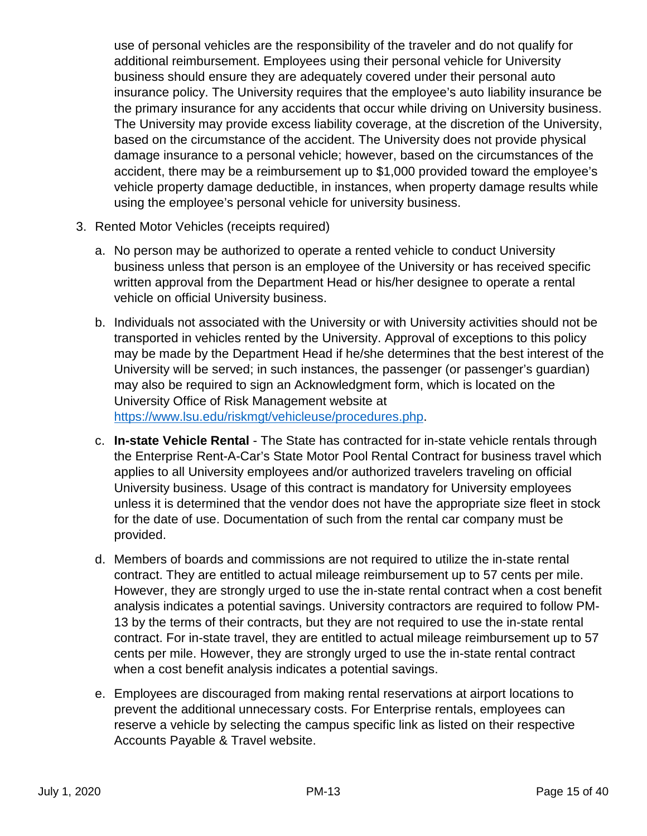use of personal vehicles are the responsibility of the traveler and do not qualify for additional reimbursement. Employees using their personal vehicle for University business should ensure they are adequately covered under their personal auto insurance policy. The University requires that the employee's auto liability insurance be the primary insurance for any accidents that occur while driving on University business. The University may provide excess liability coverage, at the discretion of the University, based on the circumstance of the accident. The University does not provide physical damage insurance to a personal vehicle; however, based on the circumstances of the accident, there may be a reimbursement up to \$1,000 provided toward the employee's vehicle property damage deductible, in instances, when property damage results while using the employee's personal vehicle for university business.

- 3. Rented Motor Vehicles (receipts required)
	- a. No person may be authorized to operate a rented vehicle to conduct University business unless that person is an employee of the University or has received specific written approval from the Department Head or his/her designee to operate a rental vehicle on official University business.
	- b. Individuals not associated with the University or with University activities should not be transported in vehicles rented by the University. Approval of exceptions to this policy may be made by the Department Head if he/she determines that the best interest of the University will be served; in such instances, the passenger (or passenger's guardian) may also be required to sign an Acknowledgment form, which is located on the University Office of Risk Management website at [https://www.lsu.edu/riskmgt/vehicleuse/procedures.php.](https://www.lsu.edu/riskmgt/vehicleuse/procedures.php)
	- c. **In-state Vehicle Rental** The State has contracted for in-state vehicle rentals through the Enterprise Rent-A-Car's State Motor Pool Rental Contract for business travel which applies to all University employees and/or authorized travelers traveling on official University business. Usage of this contract is mandatory for University employees unless it is determined that the vendor does not have the appropriate size fleet in stock for the date of use. Documentation of such from the rental car company must be provided.
	- d. Members of boards and commissions are not required to utilize the in-state rental contract. They are entitled to actual mileage reimbursement up to 57 cents per mile. However, they are strongly urged to use the in-state rental contract when a cost benefit analysis indicates a potential savings. University contractors are required to follow PM-13 by the terms of their contracts, but they are not required to use the in-state rental contract. For in-state travel, they are entitled to actual mileage reimbursement up to 57 cents per mile. However, they are strongly urged to use the in-state rental contract when a cost benefit analysis indicates a potential savings.
	- e. Employees are discouraged from making rental reservations at airport locations to prevent the additional unnecessary costs. For Enterprise rentals, employees can reserve a vehicle by selecting the campus specific link as listed on their respective Accounts Payable & Travel website.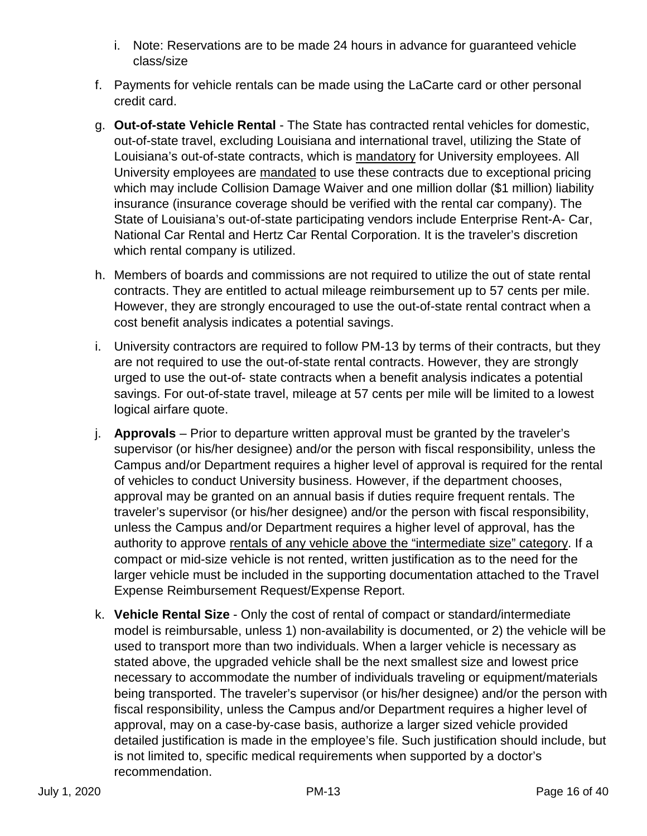- i. Note: Reservations are to be made 24 hours in advance for guaranteed vehicle class/size
- f. Payments for vehicle rentals can be made using the LaCarte card or other personal credit card.
- g. **Out-of-state Vehicle Rental** The State has contracted rental vehicles for domestic, out-of-state travel, excluding Louisiana and international travel, utilizing the State of Louisiana's out-of-state contracts, which is mandatory for University employees. All University employees are mandated to use these contracts due to exceptional pricing which may include Collision Damage Waiver and one million dollar (\$1 million) liability insurance (insurance coverage should be verified with the rental car company). The State of Louisiana's out-of-state participating vendors include Enterprise Rent-A- Car, National Car Rental and Hertz Car Rental Corporation. It is the traveler's discretion which rental company is utilized.
- h. Members of boards and commissions are not required to utilize the out of state rental contracts. They are entitled to actual mileage reimbursement up to 57 cents per mile. However, they are strongly encouraged to use the out-of-state rental contract when a cost benefit analysis indicates a potential savings.
- i. University contractors are required to follow PM-13 by terms of their contracts, but they are not required to use the out-of-state rental contracts. However, they are strongly urged to use the out-of- state contracts when a benefit analysis indicates a potential savings. For out-of-state travel, mileage at 57 cents per mile will be limited to a lowest logical airfare quote.
- j. **Approvals** Prior to departure written approval must be granted by the traveler's supervisor (or his/her designee) and/or the person with fiscal responsibility, unless the Campus and/or Department requires a higher level of approval is required for the rental of vehicles to conduct University business. However, if the department chooses, approval may be granted on an annual basis if duties require frequent rentals. The traveler's supervisor (or his/her designee) and/or the person with fiscal responsibility, unless the Campus and/or Department requires a higher level of approval, has the authority to approve rentals of any vehicle above the "intermediate size" category. If a compact or mid-size vehicle is not rented, written justification as to the need for the larger vehicle must be included in the supporting documentation attached to the Travel Expense Reimbursement Request/Expense Report.
- k. **Vehicle Rental Size** Only the cost of rental of compact or standard/intermediate model is reimbursable, unless 1) non-availability is documented, or 2) the vehicle will be used to transport more than two individuals. When a larger vehicle is necessary as stated above, the upgraded vehicle shall be the next smallest size and lowest price necessary to accommodate the number of individuals traveling or equipment/materials being transported. The traveler's supervisor (or his/her designee) and/or the person with fiscal responsibility, unless the Campus and/or Department requires a higher level of approval, may on a case-by-case basis, authorize a larger sized vehicle provided detailed justification is made in the employee's file. Such justification should include, but is not limited to, specific medical requirements when supported by a doctor's recommendation.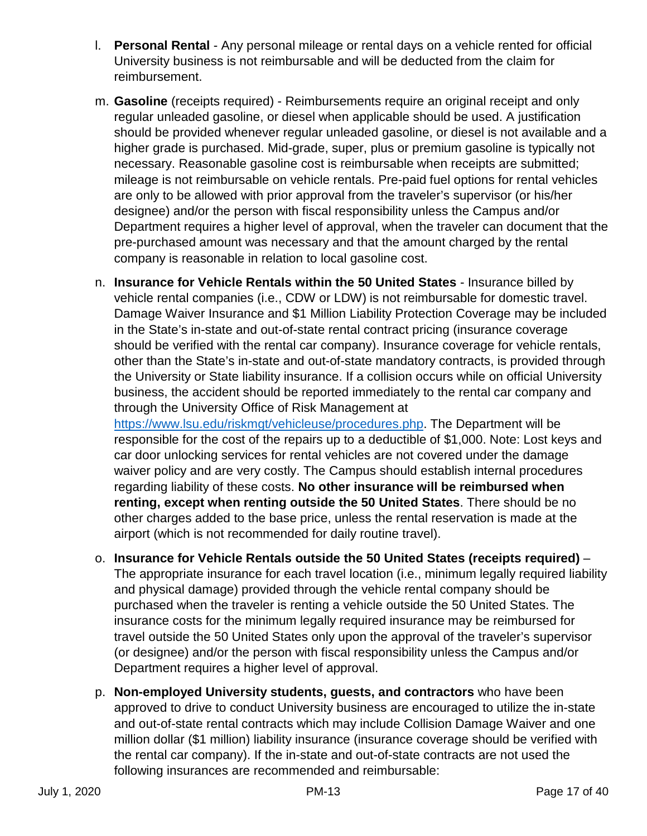- l. **Personal Rental** Any personal mileage or rental days on a vehicle rented for official University business is not reimbursable and will be deducted from the claim for reimbursement.
- m. **Gasoline** (receipts required) Reimbursements require an original receipt and only regular unleaded gasoline, or diesel when applicable should be used. A justification should be provided whenever regular unleaded gasoline, or diesel is not available and a higher grade is purchased. Mid-grade, super, plus or premium gasoline is typically not necessary. Reasonable gasoline cost is reimbursable when receipts are submitted; mileage is not reimbursable on vehicle rentals. Pre-paid fuel options for rental vehicles are only to be allowed with prior approval from the traveler's supervisor (or his/her designee) and/or the person with fiscal responsibility unless the Campus and/or Department requires a higher level of approval, when the traveler can document that the pre-purchased amount was necessary and that the amount charged by the rental company is reasonable in relation to local gasoline cost.
- n. **Insurance for Vehicle Rentals within the 50 United States** Insurance billed by vehicle rental companies (i.e., CDW or LDW) is not reimbursable for domestic travel. Damage Waiver Insurance and \$1 Million Liability Protection Coverage may be included in the State's in-state and out-of-state rental contract pricing (insurance coverage should be verified with the rental car company). Insurance coverage for vehicle rentals, other than the State's in-state and out-of-state mandatory contracts, is provided through the University or State liability insurance. If a collision occurs while on official University business, the accident should be reported immediately to the rental car company and through the University Office of Risk Management at [https://www.lsu.edu/riskmgt/vehicleuse/procedures.php.](https://www.lsu.edu/riskmgt/vehicleuse/procedures.php) The Department will be

responsible for the cost of the repairs up to a deductible of \$1,000. Note: Lost keys and car door unlocking services for rental vehicles are not covered under the damage waiver policy and are very costly. The Campus should establish internal procedures regarding liability of these costs. **No other insurance will be reimbursed when renting, except when renting outside the 50 United States**. There should be no other charges added to the base price, unless the rental reservation is made at the airport (which is not recommended for daily routine travel).

- o. **Insurance for Vehicle Rentals outside the 50 United States (receipts required)** The appropriate insurance for each travel location (i.e., minimum legally required liability and physical damage) provided through the vehicle rental company should be purchased when the traveler is renting a vehicle outside the 50 United States. The insurance costs for the minimum legally required insurance may be reimbursed for travel outside the 50 United States only upon the approval of the traveler's supervisor (or designee) and/or the person with fiscal responsibility unless the Campus and/or Department requires a higher level of approval.
- p. **Non-employed University students, guests, and contractors** who have been approved to drive to conduct University business are encouraged to utilize the in-state and out-of-state rental contracts which may include Collision Damage Waiver and one million dollar (\$1 million) liability insurance (insurance coverage should be verified with the rental car company). If the in-state and out-of-state contracts are not used the following insurances are recommended and reimbursable: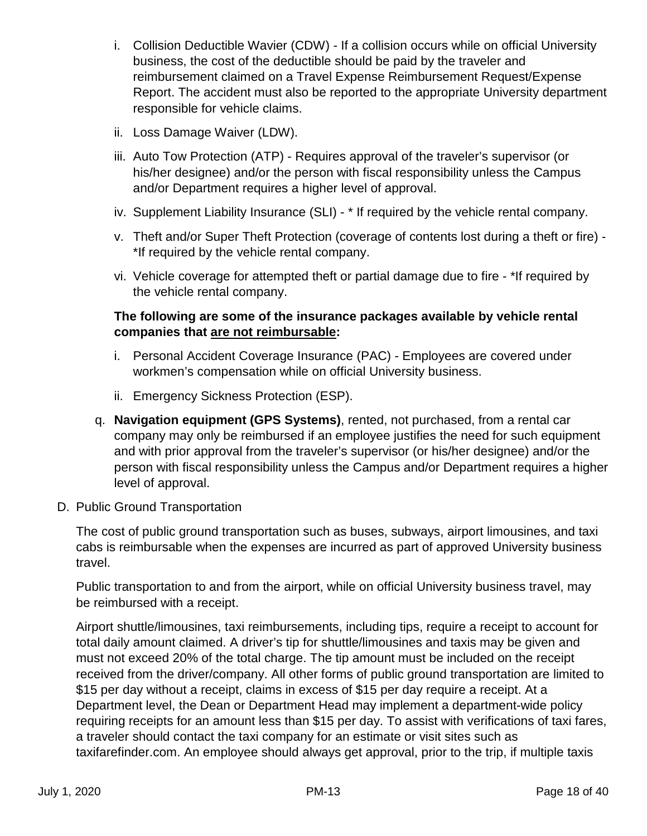- i. Collision Deductible Wavier (CDW) If a collision occurs while on official University business, the cost of the deductible should be paid by the traveler and reimbursement claimed on a Travel Expense Reimbursement Request/Expense Report. The accident must also be reported to the appropriate University department responsible for vehicle claims.
- ii. Loss Damage Waiver (LDW).
- iii. Auto Tow Protection (ATP) Requires approval of the traveler's supervisor (or his/her designee) and/or the person with fiscal responsibility unless the Campus and/or Department requires a higher level of approval.
- iv. Supplement Liability Insurance (SLI) \* If required by the vehicle rental company.
- v. Theft and/or Super Theft Protection (coverage of contents lost during a theft or fire) \*If required by the vehicle rental company.
- vi. Vehicle coverage for attempted theft or partial damage due to fire \*If required by the vehicle rental company.

# **The following are some of the insurance packages available by vehicle rental companies that are not reimbursable:**

- i. Personal Accident Coverage Insurance (PAC) Employees are covered under workmen's compensation while on official University business.
- ii. Emergency Sickness Protection (ESP).
- q. **Navigation equipment (GPS Systems)**, rented, not purchased, from a rental car company may only be reimbursed if an employee justifies the need for such equipment and with prior approval from the traveler's supervisor (or his/her designee) and/or the person with fiscal responsibility unless the Campus and/or Department requires a higher level of approval.
- D. Public Ground Transportation

The cost of public ground transportation such as buses, subways, airport limousines, and taxi cabs is reimbursable when the expenses are incurred as part of approved University business travel.

Public transportation to and from the airport, while on official University business travel, may be reimbursed with a receipt.

Airport shuttle/limousines, taxi reimbursements, including tips, require a receipt to account for total daily amount claimed. A driver's tip for shuttle/limousines and taxis may be given and must not exceed 20% of the total charge. The tip amount must be included on the receipt received from the driver/company. All other forms of public ground transportation are limited to \$15 per day without a receipt, claims in excess of \$15 per day require a receipt. At a Department level, the Dean or Department Head may implement a department-wide policy requiring receipts for an amount less than \$15 per day. To assist with verifications of taxi fares, a traveler should contact the taxi company for an estimate or visit sites such as taxifarefinder.com. An employee should always get approval, prior to the trip, if multiple taxis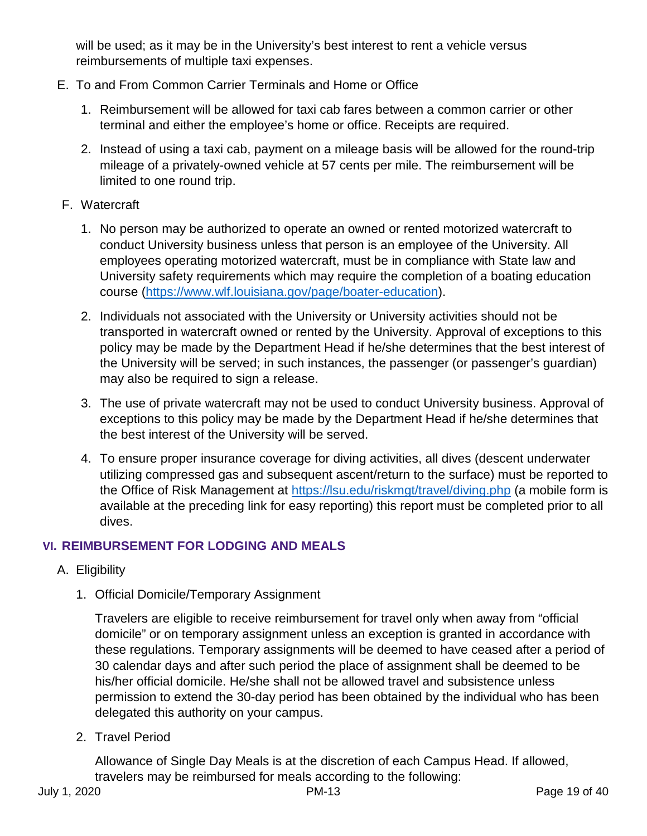will be used; as it may be in the University's best interest to rent a vehicle versus reimbursements of multiple taxi expenses.

- E. To and From Common Carrier Terminals and Home or Office
	- 1. Reimbursement will be allowed for taxi cab fares between a common carrier or other terminal and either the employee's home or office. Receipts are required.
	- 2. Instead of using a taxi cab, payment on a mileage basis will be allowed for the round-trip mileage of a privately-owned vehicle at 57 cents per mile. The reimbursement will be limited to one round trip.
- F. Watercraft
	- 1. No person may be authorized to operate an owned or rented motorized watercraft to conduct University business unless that person is an employee of the University. All employees operating motorized watercraft, must be in compliance with State law and University safety requirements which may require the completion of a boating education course [\(https://www.wlf.louisiana.gov/page/boater-education\)](https://www.wlf.louisiana.gov/page/boater-education).
	- 2. Individuals not associated with the University or University activities should not be transported in watercraft owned or rented by the University. Approval of exceptions to this policy may be made by the Department Head if he/she determines that the best interest of the University will be served; in such instances, the passenger (or passenger's guardian) may also be required to sign a release.
	- 3. The use of private watercraft may not be used to conduct University business. Approval of exceptions to this policy may be made by the Department Head if he/she determines that the best interest of the University will be served.
	- 4. To ensure proper insurance coverage for diving activities, all dives (descent underwater utilizing compressed gas and subsequent ascent/return to the surface) must be reported to the Office of Risk Management at<https://lsu.edu/riskmgt/travel/diving.php> (a mobile form is available at the preceding link for easy reporting) this report must be completed prior to all dives.

# **VI. REIMBURSEMENT FOR LODGING AND MEALS**

- A. Eligibility
	- 1. Official Domicile/Temporary Assignment

Travelers are eligible to receive reimbursement for travel only when away from "official domicile" or on temporary assignment unless an exception is granted in accordance with these regulations. Temporary assignments will be deemed to have ceased after a period of 30 calendar days and after such period the place of assignment shall be deemed to be his/her official domicile. He/she shall not be allowed travel and subsistence unless permission to extend the 30-day period has been obtained by the individual who has been delegated this authority on your campus.

2. Travel Period

Allowance of Single Day Meals is at the discretion of each Campus Head. If allowed, travelers may be reimbursed for meals according to the following: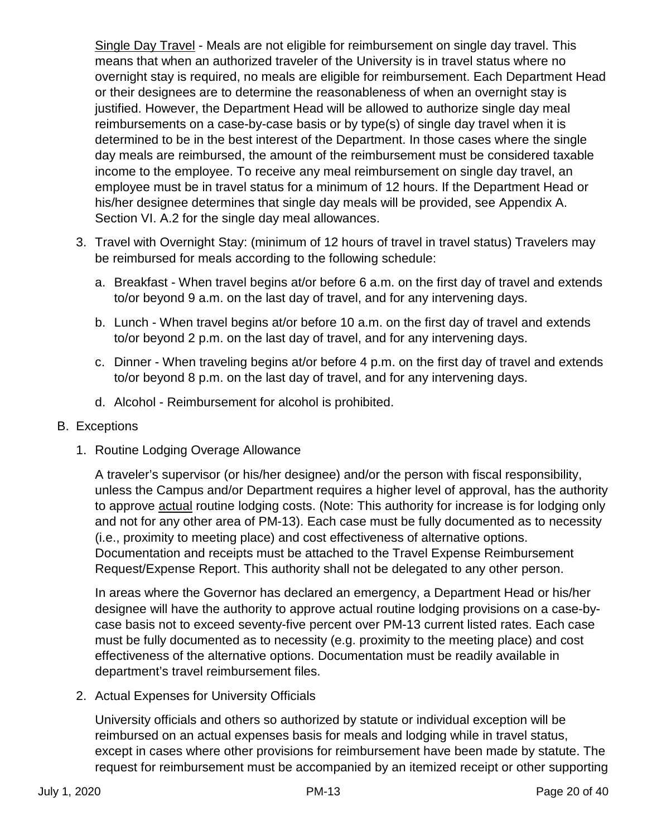Single Day Travel - Meals are not eligible for reimbursement on single day travel. This means that when an authorized traveler of the University is in travel status where no overnight stay is required, no meals are eligible for reimbursement. Each Department Head or their designees are to determine the reasonableness of when an overnight stay is justified. However, the Department Head will be allowed to authorize single day meal reimbursements on a case-by-case basis or by type(s) of single day travel when it is determined to be in the best interest of the Department. In those cases where the single day meals are reimbursed, the amount of the reimbursement must be considered taxable income to the employee. To receive any meal reimbursement on single day travel, an employee must be in travel status for a minimum of 12 hours. If the Department Head or his/her designee determines that single day meals will be provided, see Appendix A. Section VI. A.2 for the single day meal allowances.

- 3. Travel with Overnight Stay: (minimum of 12 hours of travel in travel status) Travelers may be reimbursed for meals according to the following schedule:
	- a. Breakfast When travel begins at/or before 6 a.m. on the first day of travel and extends to/or beyond 9 a.m. on the last day of travel, and for any intervening days.
	- b. Lunch When travel begins at/or before 10 a.m. on the first day of travel and extends to/or beyond 2 p.m. on the last day of travel, and for any intervening days.
	- c. Dinner When traveling begins at/or before 4 p.m. on the first day of travel and extends to/or beyond 8 p.m. on the last day of travel, and for any intervening days.
	- d. Alcohol Reimbursement for alcohol is prohibited.

### B. Exceptions

1. Routine Lodging Overage Allowance

A traveler's supervisor (or his/her designee) and/or the person with fiscal responsibility, unless the Campus and/or Department requires a higher level of approval, has the authority to approve actual routine lodging costs. (Note: This authority for increase is for lodging only and not for any other area of PM-13). Each case must be fully documented as to necessity (i.e., proximity to meeting place) and cost effectiveness of alternative options. Documentation and receipts must be attached to the Travel Expense Reimbursement Request/Expense Report. This authority shall not be delegated to any other person.

In areas where the Governor has declared an emergency, a Department Head or his/her designee will have the authority to approve actual routine lodging provisions on a case-bycase basis not to exceed seventy-five percent over PM-13 current listed rates. Each case must be fully documented as to necessity (e.g. proximity to the meeting place) and cost effectiveness of the alternative options. Documentation must be readily available in department's travel reimbursement files.

2. Actual Expenses for University Officials

University officials and others so authorized by statute or individual exception will be reimbursed on an actual expenses basis for meals and lodging while in travel status, except in cases where other provisions for reimbursement have been made by statute. The request for reimbursement must be accompanied by an itemized receipt or other supporting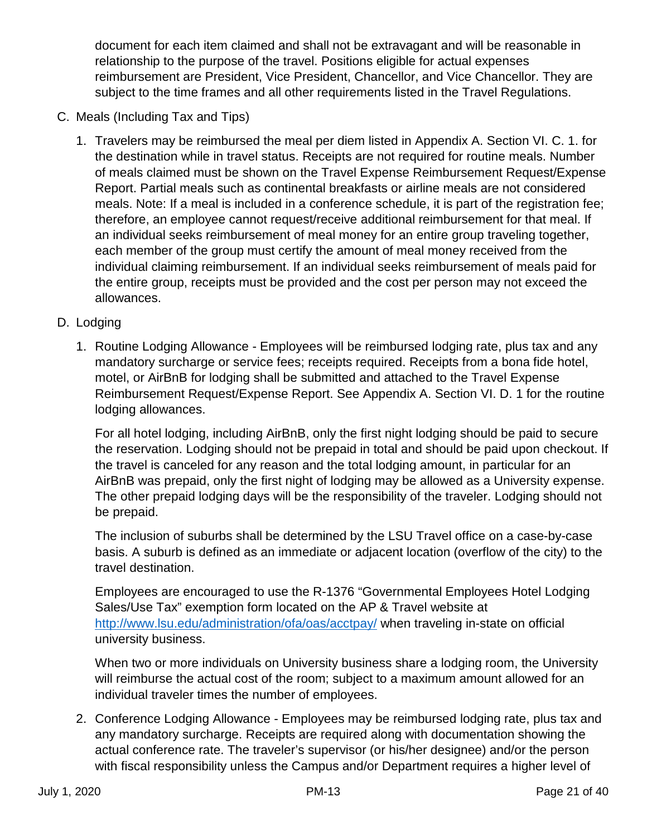document for each item claimed and shall not be extravagant and will be reasonable in relationship to the purpose of the travel. Positions eligible for actual expenses reimbursement are President, Vice President, Chancellor, and Vice Chancellor. They are subject to the time frames and all other requirements listed in the Travel Regulations.

- C. Meals (Including Tax and Tips)
	- 1. Travelers may be reimbursed the meal per diem listed in Appendix A. Section VI. C. 1. for the destination while in travel status. Receipts are not required for routine meals. Number of meals claimed must be shown on the Travel Expense Reimbursement Request/Expense Report. Partial meals such as continental breakfasts or airline meals are not considered meals. Note: If a meal is included in a conference schedule, it is part of the registration fee; therefore, an employee cannot request/receive additional reimbursement for that meal. If an individual seeks reimbursement of meal money for an entire group traveling together, each member of the group must certify the amount of meal money received from the individual claiming reimbursement. If an individual seeks reimbursement of meals paid for the entire group, receipts must be provided and the cost per person may not exceed the allowances.
- D. Lodging
	- 1. Routine Lodging Allowance Employees will be reimbursed lodging rate, plus tax and any mandatory surcharge or service fees; receipts required. Receipts from a bona fide hotel, motel, or AirBnB for lodging shall be submitted and attached to the Travel Expense Reimbursement Request/Expense Report. See Appendix A. Section VI. D. 1 for the routine lodging allowances.

For all hotel lodging, including AirBnB, only the first night lodging should be paid to secure the reservation. Lodging should not be prepaid in total and should be paid upon checkout. If the travel is canceled for any reason and the total lodging amount, in particular for an AirBnB was prepaid, only the first night of lodging may be allowed as a University expense. The other prepaid lodging days will be the responsibility of the traveler. Lodging should not be prepaid.

The inclusion of suburbs shall be determined by the LSU Travel office on a case-by-case basis. A suburb is defined as an immediate or adjacent location (overflow of the city) to the travel destination.

Employees are encouraged to use the R-1376 "Governmental Employees Hotel Lodging Sales/Use Tax" exemption form located on the AP & Travel website at <http://www.lsu.edu/administration/ofa/oas/acctpay/> when traveling in-state on official university business.

When two or more individuals on University business share a lodging room, the University will reimburse the actual cost of the room; subject to a maximum amount allowed for an individual traveler times the number of employees.

2. Conference Lodging Allowance - Employees may be reimbursed lodging rate, plus tax and any mandatory surcharge. Receipts are required along with documentation showing the actual conference rate. The traveler's supervisor (or his/her designee) and/or the person with fiscal responsibility unless the Campus and/or Department requires a higher level of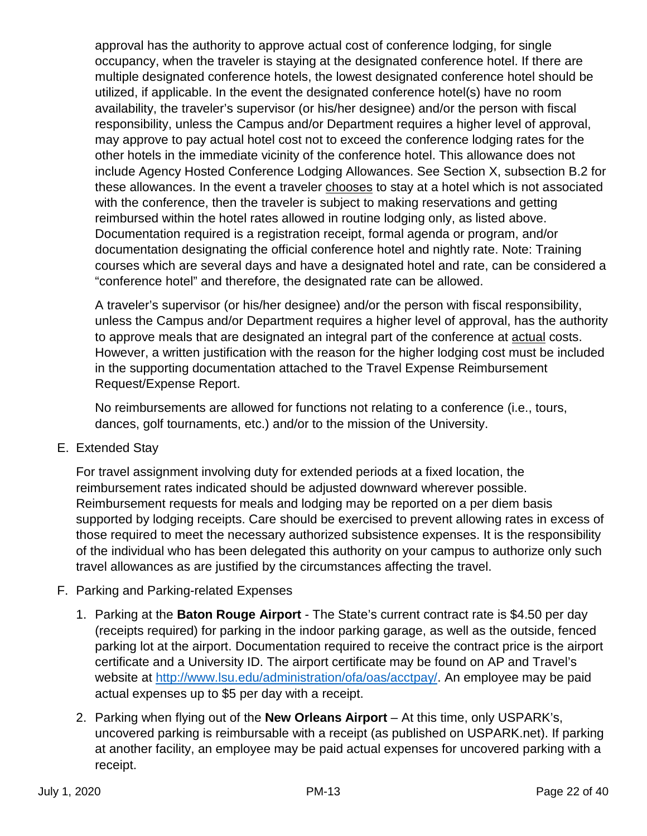approval has the authority to approve actual cost of conference lodging, for single occupancy, when the traveler is staying at the designated conference hotel. If there are multiple designated conference hotels, the lowest designated conference hotel should be utilized, if applicable. In the event the designated conference hotel(s) have no room availability, the traveler's supervisor (or his/her designee) and/or the person with fiscal responsibility, unless the Campus and/or Department requires a higher level of approval, may approve to pay actual hotel cost not to exceed the conference lodging rates for the other hotels in the immediate vicinity of the conference hotel. This allowance does not include Agency Hosted Conference Lodging Allowances. See Section X, subsection B.2 for these allowances. In the event a traveler chooses to stay at a hotel which is not associated with the conference, then the traveler is subject to making reservations and getting reimbursed within the hotel rates allowed in routine lodging only, as listed above. Documentation required is a registration receipt, formal agenda or program, and/or documentation designating the official conference hotel and nightly rate. Note: Training courses which are several days and have a designated hotel and rate, can be considered a "conference hotel" and therefore, the designated rate can be allowed.

A traveler's supervisor (or his/her designee) and/or the person with fiscal responsibility, unless the Campus and/or Department requires a higher level of approval, has the authority to approve meals that are designated an integral part of the conference at actual costs. However, a written justification with the reason for the higher lodging cost must be included in the supporting documentation attached to the Travel Expense Reimbursement Request/Expense Report.

No reimbursements are allowed for functions not relating to a conference (i.e., tours, dances, golf tournaments, etc.) and/or to the mission of the University.

E. Extended Stay

For travel assignment involving duty for extended periods at a fixed location, the reimbursement rates indicated should be adjusted downward wherever possible. Reimbursement requests for meals and lodging may be reported on a per diem basis supported by lodging receipts. Care should be exercised to prevent allowing rates in excess of those required to meet the necessary authorized subsistence expenses. It is the responsibility of the individual who has been delegated this authority on your campus to authorize only such travel allowances as are justified by the circumstances affecting the travel.

# F. Parking and Parking-related Expenses

- 1. Parking at the **Baton Rouge Airport** The State's current contract rate is \$4.50 per day (receipts required) for parking in the indoor parking garage, as well as the outside, fenced parking lot at the airport. Documentation required to receive the contract price is the airport certificate and a University ID. The airport certificate may be found on AP and Travel's website at [http://www.lsu.edu/administration/ofa/oas/acctpay/.](http://www.lsu.edu/administration/ofa/oas/acctpay/) An employee may be paid actual expenses up to \$5 per day with a receipt.
- 2. Parking when flying out of the **New Orleans Airport** At this time, only USPARK's, uncovered parking is reimbursable with a receipt (as published on USPARK.net). If parking at another facility, an employee may be paid actual expenses for uncovered parking with a receipt.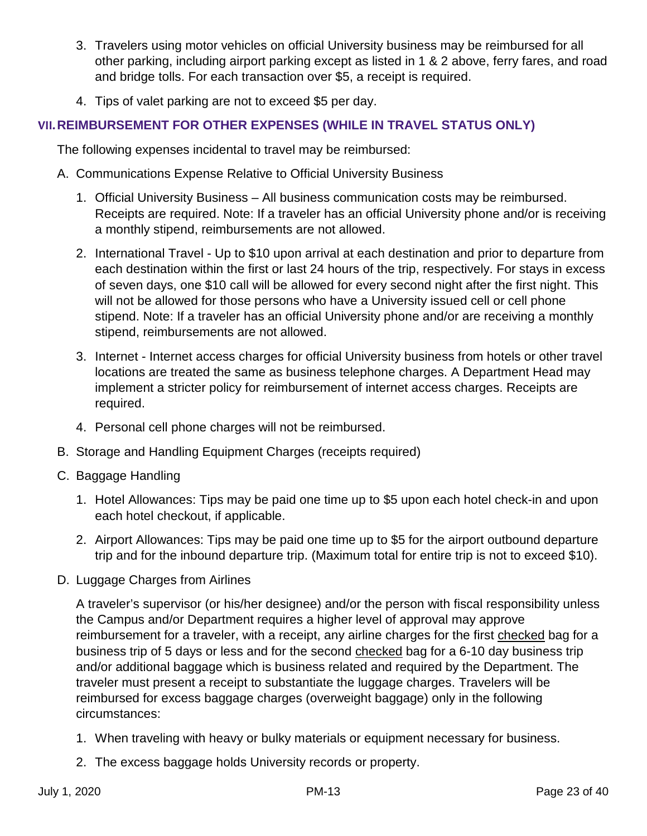- 3. Travelers using motor vehicles on official University business may be reimbursed for all other parking, including airport parking except as listed in 1 & 2 above, ferry fares, and road and bridge tolls. For each transaction over \$5, a receipt is required.
- 4. Tips of valet parking are not to exceed \$5 per day.

# **VII.REIMBURSEMENT FOR OTHER EXPENSES (WHILE IN TRAVEL STATUS ONLY)**

The following expenses incidental to travel may be reimbursed:

- A. Communications Expense Relative to Official University Business
	- 1. Official University Business All business communication costs may be reimbursed. Receipts are required. Note: If a traveler has an official University phone and/or is receiving a monthly stipend, reimbursements are not allowed.
	- 2. International Travel Up to \$10 upon arrival at each destination and prior to departure from each destination within the first or last 24 hours of the trip, respectively. For stays in excess of seven days, one \$10 call will be allowed for every second night after the first night. This will not be allowed for those persons who have a University issued cell or cell phone stipend. Note: If a traveler has an official University phone and/or are receiving a monthly stipend, reimbursements are not allowed.
	- 3. Internet Internet access charges for official University business from hotels or other travel locations are treated the same as business telephone charges. A Department Head may implement a stricter policy for reimbursement of internet access charges. Receipts are required.
	- 4. Personal cell phone charges will not be reimbursed.
- B. Storage and Handling Equipment Charges (receipts required)
- C. Baggage Handling
	- 1. Hotel Allowances: Tips may be paid one time up to \$5 upon each hotel check-in and upon each hotel checkout, if applicable.
	- 2. Airport Allowances: Tips may be paid one time up to \$5 for the airport outbound departure trip and for the inbound departure trip. (Maximum total for entire trip is not to exceed \$10).
- D. Luggage Charges from Airlines

A traveler's supervisor (or his/her designee) and/or the person with fiscal responsibility unless the Campus and/or Department requires a higher level of approval may approve reimbursement for a traveler, with a receipt, any airline charges for the first checked bag for a business trip of 5 days or less and for the second checked bag for a 6-10 day business trip and/or additional baggage which is business related and required by the Department. The traveler must present a receipt to substantiate the luggage charges. Travelers will be reimbursed for excess baggage charges (overweight baggage) only in the following circumstances:

- 1. When traveling with heavy or bulky materials or equipment necessary for business.
- 2. The excess baggage holds University records or property.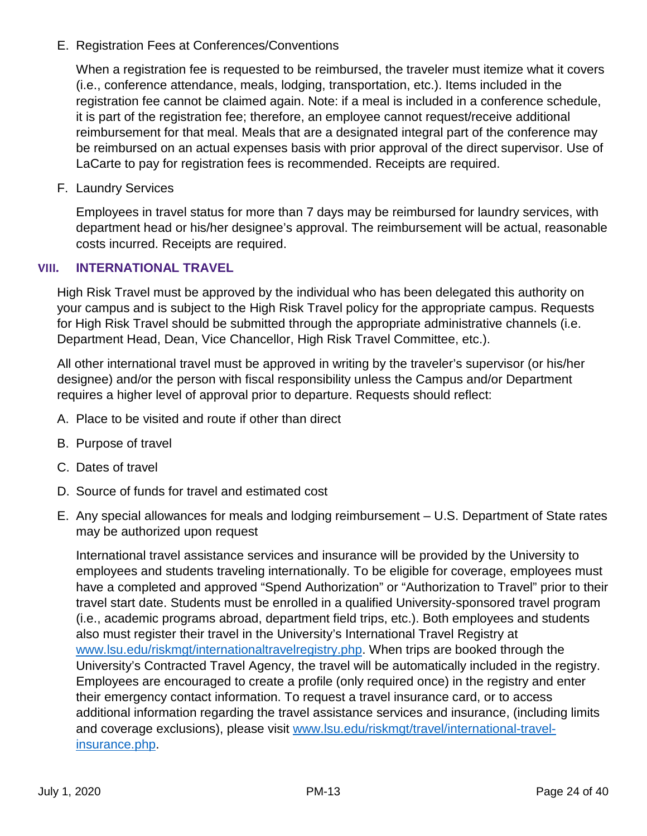E. Registration Fees at Conferences/Conventions

When a registration fee is requested to be reimbursed, the traveler must itemize what it covers (i.e., conference attendance, meals, lodging, transportation, etc.). Items included in the registration fee cannot be claimed again. Note: if a meal is included in a conference schedule, it is part of the registration fee; therefore, an employee cannot request/receive additional reimbursement for that meal. Meals that are a designated integral part of the conference may be reimbursed on an actual expenses basis with prior approval of the direct supervisor. Use of LaCarte to pay for registration fees is recommended. Receipts are required.

F. Laundry Services

Employees in travel status for more than 7 days may be reimbursed for laundry services, with department head or his/her designee's approval. The reimbursement will be actual, reasonable costs incurred. Receipts are required.

## **VIII. INTERNATIONAL TRAVEL**

High Risk Travel must be approved by the individual who has been delegated this authority on your campus and is subject to the High Risk Travel policy for the appropriate campus. Requests for High Risk Travel should be submitted through the appropriate administrative channels (i.e. Department Head, Dean, Vice Chancellor, High Risk Travel Committee, etc.).

All other international travel must be approved in writing by the traveler's supervisor (or his/her designee) and/or the person with fiscal responsibility unless the Campus and/or Department requires a higher level of approval prior to departure. Requests should reflect:

- A. Place to be visited and route if other than direct
- B. Purpose of travel
- C. Dates of travel
- D. Source of funds for travel and estimated cost
- E. Any special allowances for meals and lodging reimbursement U.S. Department of State rates may be authorized upon request

International travel assistance services and insurance will be provided by the University to employees and students traveling internationally. To be eligible for coverage, employees must have a completed and approved "Spend Authorization" or "Authorization to Travel" prior to their travel start date. Students must be enrolled in a qualified University-sponsored travel program (i.e., academic programs abroad, department field trips, etc.). Both employees and students also must register their travel in the University's International Travel Registry at [www.lsu.edu/riskmgt/internationaltravelregistry.php.](http://www.lsu.edu/riskmgt/internationaltravelregistry.php) When trips are booked through the University's Contracted Travel Agency, the travel will be automatically included in the registry. Employees are encouraged to create a profile (only required once) in the registry and enter their emergency contact information. To request a travel insurance card, or to access additional information regarding the travel assistance services and insurance, (including limits and coverage exclusions), please visit [www.lsu.edu/riskmgt/travel/international-travel](http://www.lsu.edu/riskmgt/travel/international-travel-insurance.php)[insurance.php.](http://www.lsu.edu/riskmgt/travel/international-travel-insurance.php)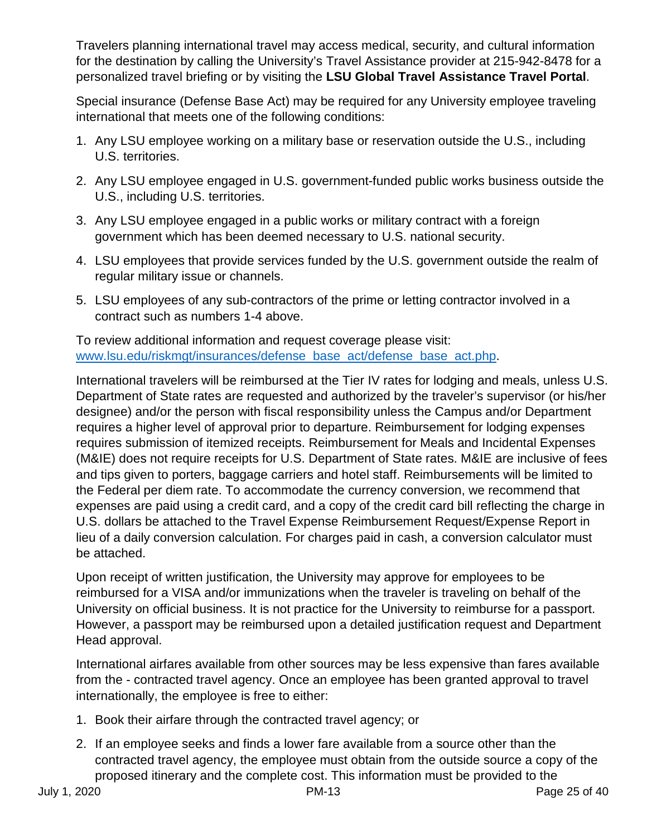Travelers planning international travel may access medical, security, and cultural information for the destination by calling the University's Travel Assistance provider at 215-942-8478 for a personalized travel briefing or by visiting the **LSU Global Travel Assistance Travel Portal**.

Special insurance (Defense Base Act) may be required for any University employee traveling international that meets one of the following conditions:

- 1. Any LSU employee working on a military base or reservation outside the U.S., including U.S. territories.
- 2. Any LSU employee engaged in U.S. government-funded public works business outside the U.S., including U.S. territories.
- 3. Any LSU employee engaged in a public works or military contract with a foreign government which has been deemed necessary to U.S. national security.
- 4. LSU employees that provide services funded by the U.S. government outside the realm of regular military issue or channels.
- 5. LSU employees of any sub-contractors of the prime or letting contractor involved in a contract such as numbers 1-4 above.

To review additional information and request coverage please visit: [www.lsu.edu/riskmgt/insurances/defense\\_base\\_act/defense\\_base\\_act.php.](http://www.lsu.edu/riskmgt/insurances/defense_base_act/defense_base_act.php)

International travelers will be reimbursed at the Tier IV rates for lodging and meals, unless U.S. Department of State rates are requested and authorized by the traveler's supervisor (or his/her designee) and/or the person with fiscal responsibility unless the Campus and/or Department requires a higher level of approval prior to departure. Reimbursement for lodging expenses requires submission of itemized receipts. Reimbursement for Meals and Incidental Expenses (M&IE) does not require receipts for U.S. Department of State rates. M&IE are inclusive of fees and tips given to porters, baggage carriers and hotel staff. Reimbursements will be limited to the Federal per diem rate. To accommodate the currency conversion, we recommend that expenses are paid using a credit card, and a copy of the credit card bill reflecting the charge in U.S. dollars be attached to the Travel Expense Reimbursement Request/Expense Report in lieu of a daily conversion calculation. For charges paid in cash, a conversion calculator must be attached.

Upon receipt of written justification, the University may approve for employees to be reimbursed for a VISA and/or immunizations when the traveler is traveling on behalf of the University on official business. It is not practice for the University to reimburse for a passport. However, a passport may be reimbursed upon a detailed justification request and Department Head approval.

International airfares available from other sources may be less expensive than fares available from the - contracted travel agency. Once an employee has been granted approval to travel internationally, the employee is free to either:

- 1. Book their airfare through the contracted travel agency; or
- 2. If an employee seeks and finds a lower fare available from a source other than the contracted travel agency, the employee must obtain from the outside source a copy of the proposed itinerary and the complete cost. This information must be provided to the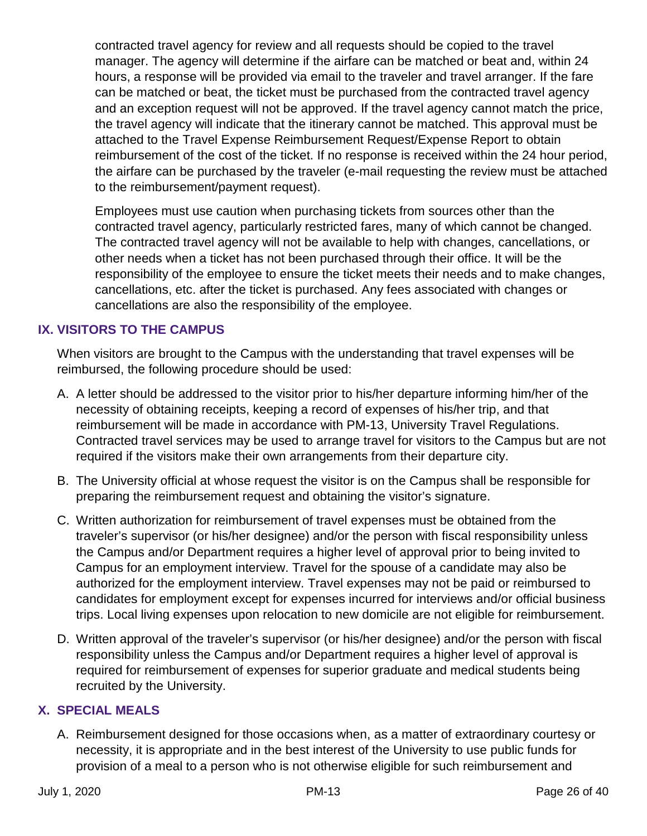contracted travel agency for review and all requests should be copied to the travel manager. The agency will determine if the airfare can be matched or beat and, within 24 hours, a response will be provided via email to the traveler and travel arranger. If the fare can be matched or beat, the ticket must be purchased from the contracted travel agency and an exception request will not be approved. If the travel agency cannot match the price, the travel agency will indicate that the itinerary cannot be matched. This approval must be attached to the Travel Expense Reimbursement Request/Expense Report to obtain reimbursement of the cost of the ticket. If no response is received within the 24 hour period, the airfare can be purchased by the traveler (e-mail requesting the review must be attached to the reimbursement/payment request).

Employees must use caution when purchasing tickets from sources other than the contracted travel agency, particularly restricted fares, many of which cannot be changed. The contracted travel agency will not be available to help with changes, cancellations, or other needs when a ticket has not been purchased through their office. It will be the responsibility of the employee to ensure the ticket meets their needs and to make changes, cancellations, etc. after the ticket is purchased. Any fees associated with changes or cancellations are also the responsibility of the employee.

# **IX. VISITORS TO THE CAMPUS**

When visitors are brought to the Campus with the understanding that travel expenses will be reimbursed, the following procedure should be used:

- A. A letter should be addressed to the visitor prior to his/her departure informing him/her of the necessity of obtaining receipts, keeping a record of expenses of his/her trip, and that reimbursement will be made in accordance with PM-13, University Travel Regulations. Contracted travel services may be used to arrange travel for visitors to the Campus but are not required if the visitors make their own arrangements from their departure city.
- B. The University official at whose request the visitor is on the Campus shall be responsible for preparing the reimbursement request and obtaining the visitor's signature.
- C. Written authorization for reimbursement of travel expenses must be obtained from the traveler's supervisor (or his/her designee) and/or the person with fiscal responsibility unless the Campus and/or Department requires a higher level of approval prior to being invited to Campus for an employment interview. Travel for the spouse of a candidate may also be authorized for the employment interview. Travel expenses may not be paid or reimbursed to candidates for employment except for expenses incurred for interviews and/or official business trips. Local living expenses upon relocation to new domicile are not eligible for reimbursement.
- D. Written approval of the traveler's supervisor (or his/her designee) and/or the person with fiscal responsibility unless the Campus and/or Department requires a higher level of approval is required for reimbursement of expenses for superior graduate and medical students being recruited by the University.

# **X. SPECIAL MEALS**

A. Reimbursement designed for those occasions when, as a matter of extraordinary courtesy or necessity, it is appropriate and in the best interest of the University to use public funds for provision of a meal to a person who is not otherwise eligible for such reimbursement and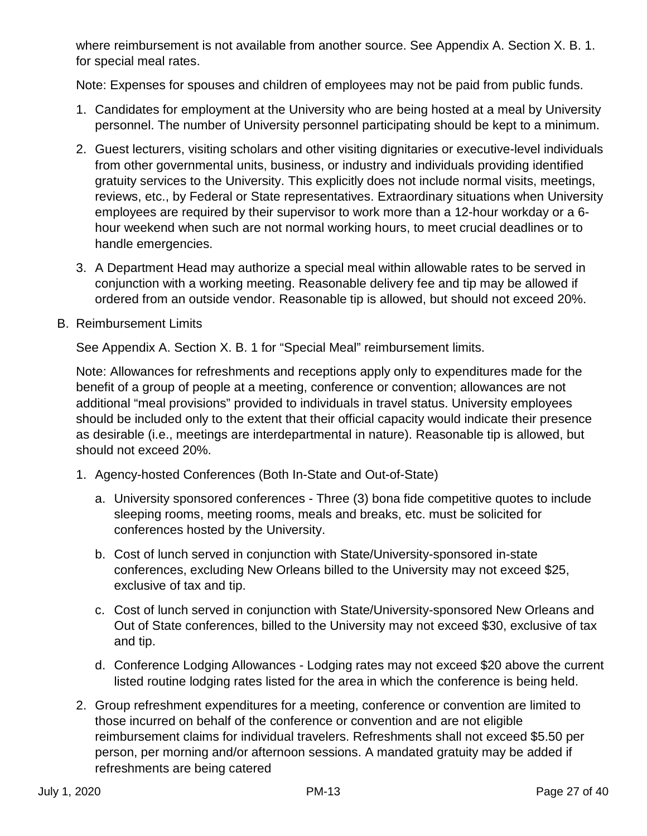where reimbursement is not available from another source. See Appendix A. Section X. B. 1. for special meal rates.

Note: Expenses for spouses and children of employees may not be paid from public funds.

- 1. Candidates for employment at the University who are being hosted at a meal by University personnel. The number of University personnel participating should be kept to a minimum.
- 2. Guest lecturers, visiting scholars and other visiting dignitaries or executive-level individuals from other governmental units, business, or industry and individuals providing identified gratuity services to the University. This explicitly does not include normal visits, meetings, reviews, etc., by Federal or State representatives. Extraordinary situations when University employees are required by their supervisor to work more than a 12-hour workday or a 6 hour weekend when such are not normal working hours, to meet crucial deadlines or to handle emergencies.
- 3. A Department Head may authorize a special meal within allowable rates to be served in conjunction with a working meeting. Reasonable delivery fee and tip may be allowed if ordered from an outside vendor. Reasonable tip is allowed, but should not exceed 20%.
- B. Reimbursement Limits

See Appendix A. Section X. B. 1 for "Special Meal" reimbursement limits.

Note: Allowances for refreshments and receptions apply only to expenditures made for the benefit of a group of people at a meeting, conference or convention; allowances are not additional "meal provisions" provided to individuals in travel status. University employees should be included only to the extent that their official capacity would indicate their presence as desirable (i.e., meetings are interdepartmental in nature). Reasonable tip is allowed, but should not exceed 20%.

- 1. Agency-hosted Conferences (Both In-State and Out-of-State)
	- a. University sponsored conferences Three (3) bona fide competitive quotes to include sleeping rooms, meeting rooms, meals and breaks, etc. must be solicited for conferences hosted by the University.
	- b. Cost of lunch served in conjunction with State/University-sponsored in-state conferences, excluding New Orleans billed to the University may not exceed \$25, exclusive of tax and tip.
	- c. Cost of lunch served in conjunction with State/University-sponsored New Orleans and Out of State conferences, billed to the University may not exceed \$30, exclusive of tax and tip.
	- d. Conference Lodging Allowances Lodging rates may not exceed \$20 above the current listed routine lodging rates listed for the area in which the conference is being held.
- 2. Group refreshment expenditures for a meeting, conference or convention are limited to those incurred on behalf of the conference or convention and are not eligible reimbursement claims for individual travelers. Refreshments shall not exceed \$5.50 per person, per morning and/or afternoon sessions. A mandated gratuity may be added if refreshments are being catered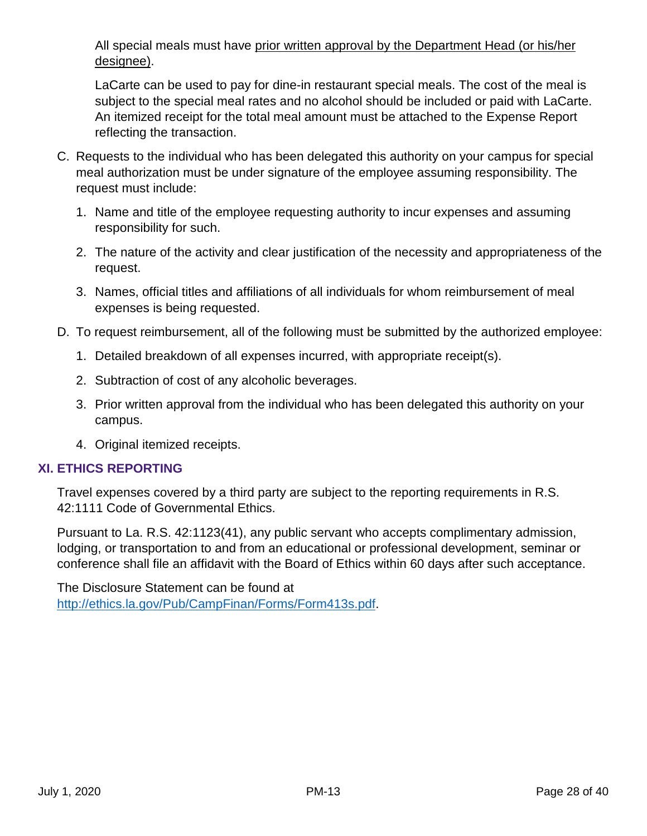All special meals must have prior written approval by the Department Head (or his/her designee).

LaCarte can be used to pay for dine-in restaurant special meals. The cost of the meal is subject to the special meal rates and no alcohol should be included or paid with LaCarte. An itemized receipt for the total meal amount must be attached to the Expense Report reflecting the transaction.

- C. Requests to the individual who has been delegated this authority on your campus for special meal authorization must be under signature of the employee assuming responsibility. The request must include:
	- 1. Name and title of the employee requesting authority to incur expenses and assuming responsibility for such.
	- 2. The nature of the activity and clear justification of the necessity and appropriateness of the request.
	- 3. Names, official titles and affiliations of all individuals for whom reimbursement of meal expenses is being requested.
- D. To request reimbursement, all of the following must be submitted by the authorized employee:
	- 1. Detailed breakdown of all expenses incurred, with appropriate receipt(s).
	- 2. Subtraction of cost of any alcoholic beverages.
	- 3. Prior written approval from the individual who has been delegated this authority on your campus.
	- 4. Original itemized receipts.

### **XI. ETHICS REPORTING**

Travel expenses covered by a third party are subject to the reporting requirements in R.S. 42:1111 Code of Governmental Ethics.

Pursuant to La. R.S. 42:1123(41), any public servant who accepts complimentary admission, lodging, or transportation to and from an educational or professional development, seminar or conference shall file an affidavit with the Board of Ethics within 60 days after such acceptance.

The Disclosure Statement can be found at [http://ethics.la.gov/Pub/CampFinan/Forms/Form413s.pdf.](http://ethics.la.gov/Pub/CampFinan/Forms/Form413s.pdf)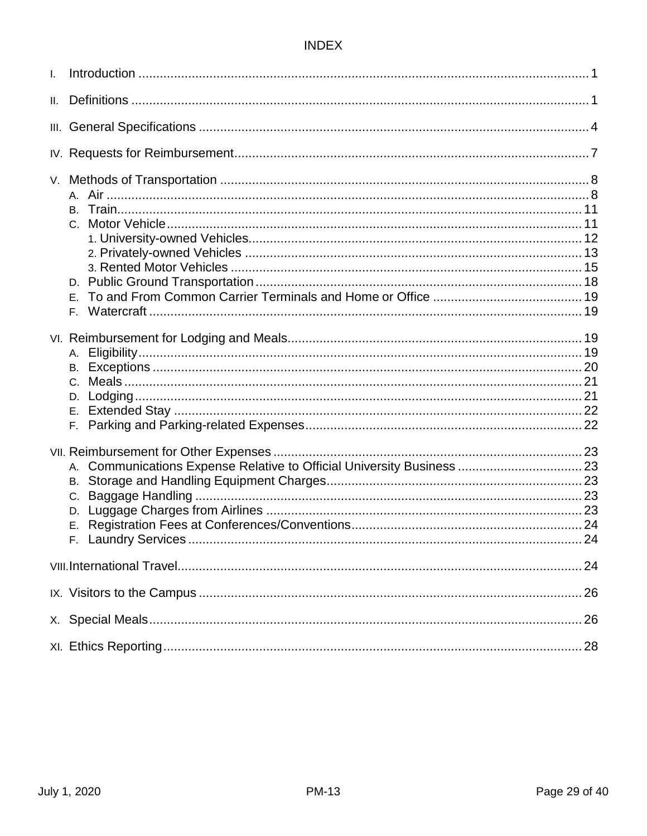# **INDEX**

| В.<br>Е.                                                                                 |  |
|------------------------------------------------------------------------------------------|--|
| A. Communications Expense Relative to Official University Business  23<br>В.<br>D.<br>Е. |  |
|                                                                                          |  |
|                                                                                          |  |
|                                                                                          |  |
|                                                                                          |  |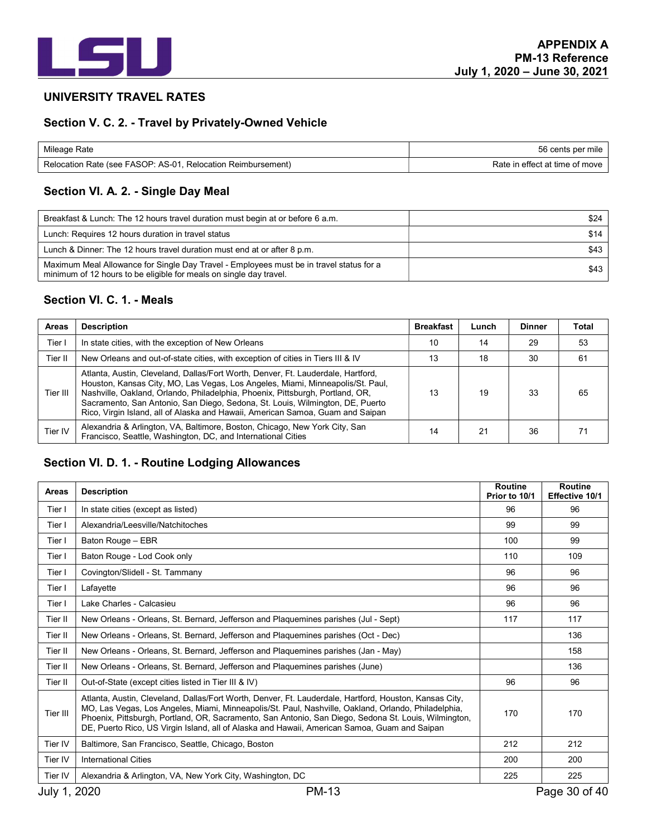

#### UNIVERSITY TRAVEL RATES

#### Section V. C. 2. - Travel by Privately-Owned Vehicle

| Mileage Rate                                                 | 56 cents per mile              |
|--------------------------------------------------------------|--------------------------------|
| Relocation Rate (see FASOP: AS-01, Relocation Reimbursement) | Rate in effect at time of move |

### Section VI. A. 2. - Single Day Meal

| Breakfast & Lunch: The 12 hours travel duration must begin at or before 6 a.m.                                                                                | \$24 |
|---------------------------------------------------------------------------------------------------------------------------------------------------------------|------|
| Lunch: Requires 12 hours duration in travel status                                                                                                            | \$14 |
| Lunch & Dinner: The 12 hours travel duration must end at or after 8 p.m.                                                                                      | \$43 |
| Maximum Meal Allowance for Single Day Travel - Employees must be in travel status for a<br>minimum of 12 hours to be eligible for meals on single day travel. | \$43 |

### Section VI. C. 1. - Meals

| <b>Areas</b> | <b>Description</b>                                                                                                                                                                                                                                                                                                                                                                                                     | <b>Breakfast</b> | Lunch | <b>Dinner</b> | Total |
|--------------|------------------------------------------------------------------------------------------------------------------------------------------------------------------------------------------------------------------------------------------------------------------------------------------------------------------------------------------------------------------------------------------------------------------------|------------------|-------|---------------|-------|
| Tier I       | In state cities, with the exception of New Orleans                                                                                                                                                                                                                                                                                                                                                                     | 10               | 14    | 29            | 53    |
| Tier II      | New Orleans and out-of-state cities, with exception of cities in Tiers III & IV                                                                                                                                                                                                                                                                                                                                        | 13               | 18    | 30            | 61    |
| Tier III     | Atlanta, Austin, Cleveland, Dallas/Fort Worth, Denver, Ft. Lauderdale, Hartford,<br>Houston, Kansas City, MO, Las Vegas, Los Angeles, Miami, Minneapolis/St. Paul,<br>Nashville, Oakland, Orlando, Philadelphia, Phoenix, Pittsburgh, Portland, OR,<br>Sacramento, San Antonio, San Diego, Sedona, St. Louis, Wilmington, DE, Puerto<br>Rico, Virgin Island, all of Alaska and Hawaii, American Samoa, Guam and Saipan | 13               | 19    | 33            | 65    |
| Tier IV      | Alexandria & Arlington, VA, Baltimore, Boston, Chicago, New York City, San<br>Francisco, Seattle, Washington, DC, and International Cities                                                                                                                                                                                                                                                                             | 14               | 21    | 36            |       |

### Section VI. D. 1. - Routine Lodging Allowances

| <b>Areas</b> | <b>Description</b>                                                                                                                                                                                                                                                                                                                                                                                                    | <b>Routine</b><br>Prior to 10/1 | <b>Routine</b><br><b>Effective 10/1</b> |
|--------------|-----------------------------------------------------------------------------------------------------------------------------------------------------------------------------------------------------------------------------------------------------------------------------------------------------------------------------------------------------------------------------------------------------------------------|---------------------------------|-----------------------------------------|
| Tier I       | In state cities (except as listed)                                                                                                                                                                                                                                                                                                                                                                                    | 96                              | 96                                      |
| Tier I       | Alexandria/Leesville/Natchitoches                                                                                                                                                                                                                                                                                                                                                                                     | 99                              | 99                                      |
| Tier I       | Baton Rouge - EBR                                                                                                                                                                                                                                                                                                                                                                                                     | 100                             | 99                                      |
| Tier I       | Baton Rouge - Lod Cook only                                                                                                                                                                                                                                                                                                                                                                                           | 110                             | 109                                     |
| Tier I       | Covington/Slidell - St. Tammany                                                                                                                                                                                                                                                                                                                                                                                       | 96                              | 96                                      |
| Tier I       | Lafayette                                                                                                                                                                                                                                                                                                                                                                                                             | 96                              | 96                                      |
| Tier I       | Lake Charles - Calcasieu                                                                                                                                                                                                                                                                                                                                                                                              | 96                              | 96                                      |
| Tier II      | New Orleans - Orleans, St. Bernard, Jefferson and Plaquemines parishes (Jul - Sept)                                                                                                                                                                                                                                                                                                                                   | 117                             | 117                                     |
| Tier II      | New Orleans - Orleans, St. Bernard, Jefferson and Plaquemines parishes (Oct - Dec)                                                                                                                                                                                                                                                                                                                                    |                                 | 136                                     |
| Tier II      | New Orleans - Orleans, St. Bernard, Jefferson and Plaquemines parishes (Jan - May)                                                                                                                                                                                                                                                                                                                                    |                                 | 158                                     |
| Tier II      | New Orleans - Orleans, St. Bernard, Jefferson and Plaguemines parishes (June)                                                                                                                                                                                                                                                                                                                                         |                                 | 136                                     |
| Tier II      | Out-of-State (except cities listed in Tier III & IV)                                                                                                                                                                                                                                                                                                                                                                  | 96                              | 96                                      |
| Tier III     | Atlanta, Austin, Cleveland, Dallas/Fort Worth, Denver, Ft. Lauderdale, Hartford, Houston, Kansas City,<br>MO, Las Vegas, Los Angeles, Miami, Minneapolis/St. Paul, Nashville, Oakland, Orlando, Philadelphia,<br>Phoenix, Pittsburgh, Portland, OR, Sacramento, San Antonio, San Diego, Sedona St. Louis, Wilmington,<br>DE, Puerto Rico, US Virgin Island, all of Alaska and Hawaii, American Samoa, Guam and Saipan | 170                             | 170                                     |
| Tier IV      | Baltimore, San Francisco, Seattle, Chicago, Boston                                                                                                                                                                                                                                                                                                                                                                    | 212                             | 212                                     |
| Tier IV      | <b>International Cities</b>                                                                                                                                                                                                                                                                                                                                                                                           | 200                             | 200                                     |
| Tier IV      | Alexandria & Arlington, VA, New York City, Washington, DC                                                                                                                                                                                                                                                                                                                                                             | 225                             | 225                                     |
| July 1, 2020 | <b>PM-13</b>                                                                                                                                                                                                                                                                                                                                                                                                          |                                 | Page 30 of 40                           |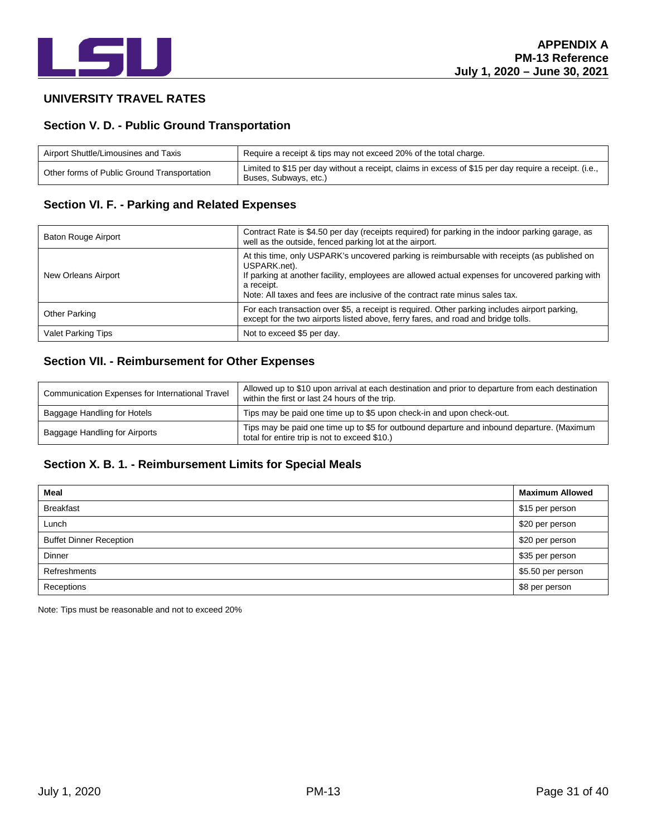

#### **UNIVERSITY TRAVEL RATES**

### **Section V. D. - Public Ground Transportation**

| Airport Shuttle/Limousines and Taxis        | Require a receipt & tips may not exceed 20% of the total charge.                                                               |
|---------------------------------------------|--------------------------------------------------------------------------------------------------------------------------------|
| Other forms of Public Ground Transportation | Limited to \$15 per day without a receipt, claims in excess of \$15 per day require a receipt. (i.e.,<br>Buses, Subways, etc.) |

#### **Section VI. F. - Parking and Related Expenses**

| Baton Rouge Airport       | Contract Rate is \$4.50 per day (receipts required) for parking in the indoor parking garage, as<br>well as the outside, fenced parking lot at the airport.                                                                                                                                                    |
|---------------------------|----------------------------------------------------------------------------------------------------------------------------------------------------------------------------------------------------------------------------------------------------------------------------------------------------------------|
| New Orleans Airport       | At this time, only USPARK's uncovered parking is reimbursable with receipts (as published on<br>USPARK.net).<br>If parking at another facility, employees are allowed actual expenses for uncovered parking with<br>a receipt.<br>Note: All taxes and fees are inclusive of the contract rate minus sales tax. |
| Other Parking             | For each transaction over \$5, a receipt is required. Other parking includes airport parking,<br>except for the two airports listed above, ferry fares, and road and bridge tolls.                                                                                                                             |
| <b>Valet Parking Tips</b> | Not to exceed \$5 per day.                                                                                                                                                                                                                                                                                     |

### **Section VII. - Reimbursement for Other Expenses**

| Communication Expenses for International Travel | Allowed up to \$10 upon arrival at each destination and prior to departure from each destination<br>within the first or last 24 hours of the trip. |  |
|-------------------------------------------------|----------------------------------------------------------------------------------------------------------------------------------------------------|--|
| Baggage Handling for Hotels                     | Tips may be paid one time up to \$5 upon check-in and upon check-out.                                                                              |  |
| Baggage Handling for Airports                   | Tips may be paid one time up to \$5 for outbound departure and inbound departure. (Maximum<br>total for entire trip is not to exceed \$10.)        |  |

#### **Section X. B. 1. - Reimbursement Limits for Special Meals**

| <b>Meal</b>                    | <b>Maximum Allowed</b> |
|--------------------------------|------------------------|
| <b>Breakfast</b>               | \$15 per person        |
| Lunch                          | \$20 per person        |
| <b>Buffet Dinner Reception</b> | \$20 per person        |
| Dinner                         | \$35 per person        |
| <b>Refreshments</b>            | \$5.50 per person      |
| Receptions                     | \$8 per person         |

Note: Tips must be reasonable and not to exceed 20%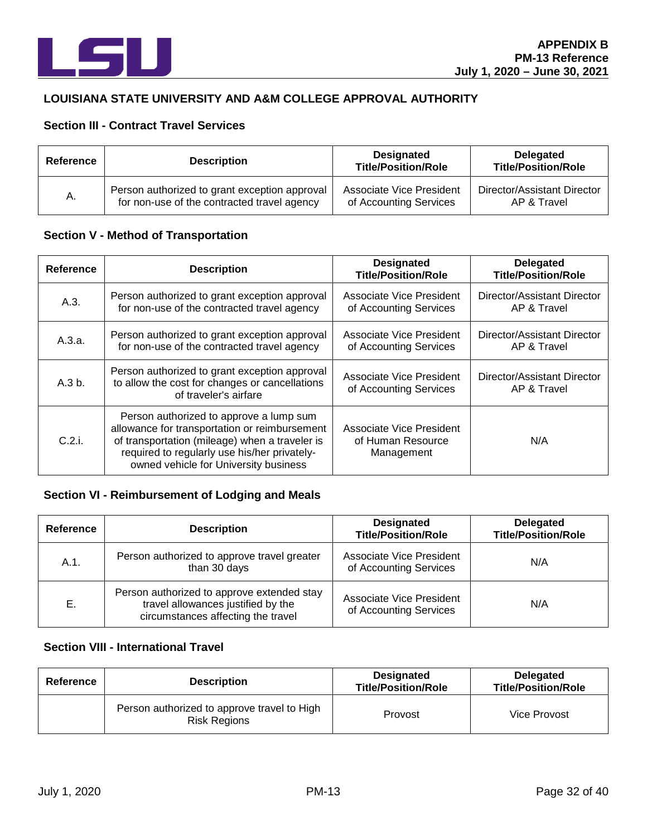

#### **LOUISIANA STATE UNIVERSITY AND A&M COLLEGE APPROVAL AUTHORITY**

### **Section III - Contract Travel Services**

| <b>Reference</b> | <b>Description</b>                            | <b>Designated</b><br><b>Title/Position/Role</b> | Delegated<br><b>Title/Position/Role</b> |
|------------------|-----------------------------------------------|-------------------------------------------------|-----------------------------------------|
| А.               | Person authorized to grant exception approval | <b>Associate Vice President</b>                 | Director/Assistant Director             |
|                  | for non-use of the contracted travel agency   | of Accounting Services                          | AP & Travel                             |

#### **Section V - Method of Transportation**

| Reference | <b>Description</b>                                                                                                                                                                                                                  | <b>Designated</b><br><b>Title/Position/Role</b>             | <b>Delegated</b><br><b>Title/Position/Role</b> |
|-----------|-------------------------------------------------------------------------------------------------------------------------------------------------------------------------------------------------------------------------------------|-------------------------------------------------------------|------------------------------------------------|
| A.3.      | Person authorized to grant exception approval<br>for non-use of the contracted travel agency                                                                                                                                        | Associate Vice President<br>of Accounting Services          | Director/Assistant Director<br>AP & Travel     |
| A.3.a.    | Person authorized to grant exception approval<br>for non-use of the contracted travel agency                                                                                                                                        | Associate Vice President<br>of Accounting Services          | Director/Assistant Director<br>AP & Travel     |
| A.3 b.    | Person authorized to grant exception approval<br>to allow the cost for changes or cancellations<br>of traveler's airfare                                                                                                            | Associate Vice President<br>of Accounting Services          | Director/Assistant Director<br>AP & Travel     |
| C.2.i.    | Person authorized to approve a lump sum<br>allowance for transportation or reimbursement<br>of transportation (mileage) when a traveler is<br>required to regularly use his/her privately-<br>owned vehicle for University business | Associate Vice President<br>of Human Resource<br>Management | N/A                                            |

# **Section VI - Reimbursement of Lodging and Meals**

| Reference | <b>Description</b>                                                                                                     | <b>Designated</b><br><b>Title/Position/Role</b>    | <b>Delegated</b><br><b>Title/Position/Role</b> |
|-----------|------------------------------------------------------------------------------------------------------------------------|----------------------------------------------------|------------------------------------------------|
| A.1.      | Person authorized to approve travel greater<br>than 30 days                                                            | Associate Vice President<br>of Accounting Services | N/A                                            |
| Е.        | Person authorized to approve extended stay<br>travel allowances justified by the<br>circumstances affecting the travel | Associate Vice President<br>of Accounting Services | N/A                                            |

| Reference | <b>Description</b>                                                 | <b>Designated</b><br><b>Title/Position/Role</b> | <b>Delegated</b><br><b>Title/Position/Role</b> |
|-----------|--------------------------------------------------------------------|-------------------------------------------------|------------------------------------------------|
|           | Person authorized to approve travel to High<br><b>Risk Regions</b> | Provost                                         | Vice Provost                                   |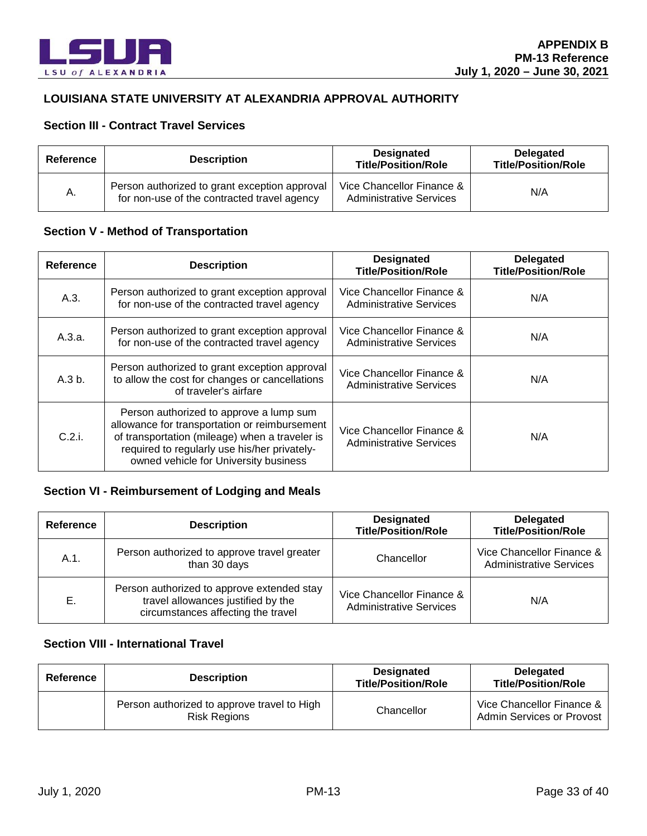

#### **LOUISIANA STATE UNIVERSITY AT ALEXANDRIA APPROVAL AUTHORITY**

#### **Section III - Contract Travel Services**

| Reference | <b>Description</b>                                                                           | <b>Designated</b><br><b>Title/Position/Role</b>             | <b>Delegated</b><br><b>Title/Position/Role</b> |
|-----------|----------------------------------------------------------------------------------------------|-------------------------------------------------------------|------------------------------------------------|
| А.        | Person authorized to grant exception approval<br>for non-use of the contracted travel agency | Vice Chancellor Finance &<br><b>Administrative Services</b> | N/A                                            |

#### **Section V - Method of Transportation**

| Reference | <b>Description</b>                                                                                                                                                                                                                  | <b>Designated</b><br><b>Title/Position/Role</b>             | <b>Delegated</b><br><b>Title/Position/Role</b> |
|-----------|-------------------------------------------------------------------------------------------------------------------------------------------------------------------------------------------------------------------------------------|-------------------------------------------------------------|------------------------------------------------|
| A.3.      | Person authorized to grant exception approval<br>for non-use of the contracted travel agency                                                                                                                                        | Vice Chancellor Finance &<br><b>Administrative Services</b> | N/A                                            |
| A.3.a.    | Person authorized to grant exception approval<br>for non-use of the contracted travel agency                                                                                                                                        | Vice Chancellor Finance &<br><b>Administrative Services</b> | N/A                                            |
| A.3 b.    | Person authorized to grant exception approval<br>to allow the cost for changes or cancellations<br>of traveler's airfare                                                                                                            | Vice Chancellor Finance &<br><b>Administrative Services</b> | N/A                                            |
| C.2.i.    | Person authorized to approve a lump sum<br>allowance for transportation or reimbursement<br>of transportation (mileage) when a traveler is<br>required to regularly use his/her privately-<br>owned vehicle for University business | Vice Chancellor Finance &<br><b>Administrative Services</b> | N/A                                            |

### **Section VI - Reimbursement of Lodging and Meals**

| Reference | <b>Description</b>                                                                                                     | <b>Designated</b><br><b>Title/Position/Role</b>             | <b>Delegated</b><br><b>Title/Position/Role</b>              |
|-----------|------------------------------------------------------------------------------------------------------------------------|-------------------------------------------------------------|-------------------------------------------------------------|
| $A.1$ .   | Person authorized to approve travel greater<br>than 30 days                                                            | Chancellor                                                  | Vice Chancellor Finance &<br><b>Administrative Services</b> |
| Е.        | Person authorized to approve extended stay<br>travel allowances justified by the<br>circumstances affecting the travel | Vice Chancellor Finance &<br><b>Administrative Services</b> | N/A                                                         |

| Reference | <b>Description</b>                                                 | <b>Designated</b><br><b>Title/Position/Role</b> | <b>Delegated</b><br><b>Title/Position/Role</b>         |
|-----------|--------------------------------------------------------------------|-------------------------------------------------|--------------------------------------------------------|
|           | Person authorized to approve travel to High<br><b>Risk Regions</b> | Chancellor                                      | Vice Chancellor Finance &<br>Admin Services or Provost |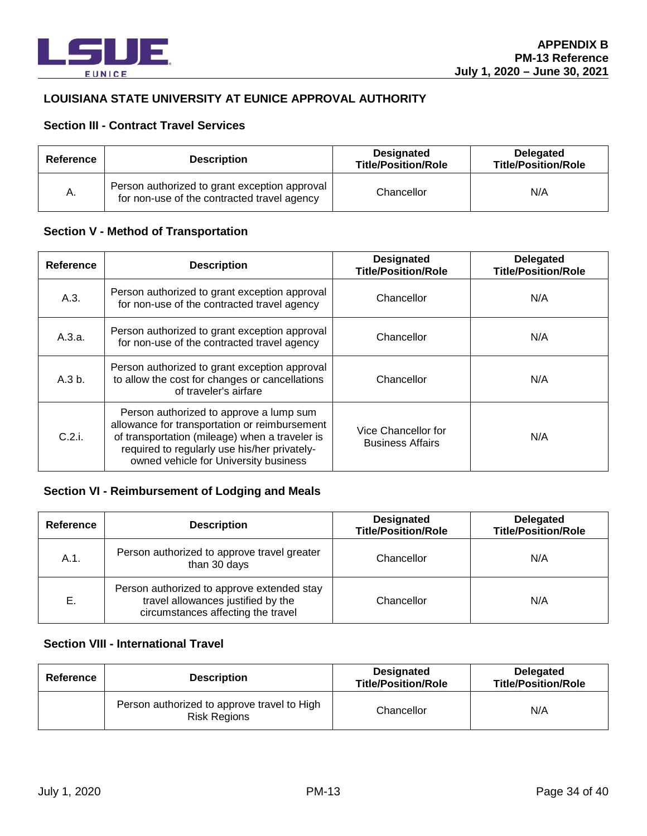

#### **LOUISIANA STATE UNIVERSITY AT EUNICE APPROVAL AUTHORITY**

### **Section III - Contract Travel Services**

| Reference | <b>Description</b>                                                                           | <b>Designated</b><br><b>Title/Position/Role</b> | <b>Delegated</b><br><b>Title/Position/Role</b> |
|-----------|----------------------------------------------------------------------------------------------|-------------------------------------------------|------------------------------------------------|
| Α.        | Person authorized to grant exception approval<br>for non-use of the contracted travel agency | Chancellor                                      | N/A                                            |

#### **Section V - Method of Transportation**

| Reference | <b>Description</b>                                                                                                                                                                                                                  | <b>Designated</b><br><b>Title/Position/Role</b> | <b>Delegated</b><br><b>Title/Position/Role</b> |
|-----------|-------------------------------------------------------------------------------------------------------------------------------------------------------------------------------------------------------------------------------------|-------------------------------------------------|------------------------------------------------|
| A.3.      | Person authorized to grant exception approval<br>for non-use of the contracted travel agency                                                                                                                                        | Chancellor                                      | N/A                                            |
| A.3.a.    | Person authorized to grant exception approval<br>for non-use of the contracted travel agency                                                                                                                                        | Chancellor                                      | N/A                                            |
| A.3 b.    | Person authorized to grant exception approval<br>to allow the cost for changes or cancellations<br>of traveler's airfare                                                                                                            | Chancellor                                      | N/A                                            |
| C.2.i.    | Person authorized to approve a lump sum<br>allowance for transportation or reimbursement<br>of transportation (mileage) when a traveler is<br>required to regularly use his/her privately-<br>owned vehicle for University business | Vice Chancellor for<br><b>Business Affairs</b>  | N/A                                            |

### **Section VI - Reimbursement of Lodging and Meals**

| Reference | <b>Description</b>                                                                                                     | <b>Designated</b><br><b>Title/Position/Role</b> | <b>Delegated</b><br><b>Title/Position/Role</b> |
|-----------|------------------------------------------------------------------------------------------------------------------------|-------------------------------------------------|------------------------------------------------|
| A.1.      | Person authorized to approve travel greater<br>than 30 days                                                            | Chancellor                                      | N/A                                            |
| Е.        | Person authorized to approve extended stay<br>travel allowances justified by the<br>circumstances affecting the travel | Chancellor                                      | N/A                                            |

| Reference | <b>Description</b>                                                 | <b>Designated</b><br><b>Title/Position/Role</b> | <b>Delegated</b><br><b>Title/Position/Role</b> |
|-----------|--------------------------------------------------------------------|-------------------------------------------------|------------------------------------------------|
|           | Person authorized to approve travel to High<br><b>Risk Regions</b> | Chancellor                                      | N/A                                            |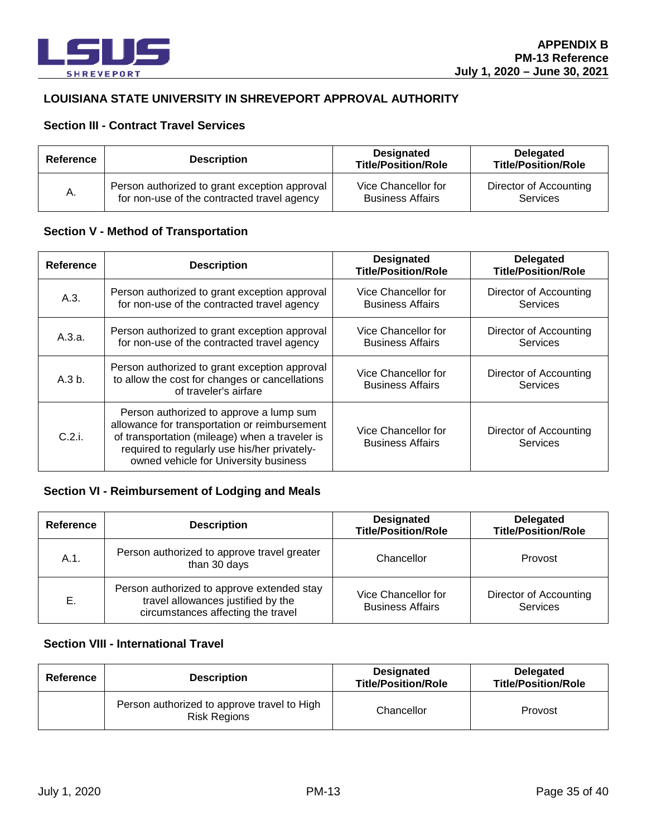

#### **LOUISIANA STATE UNIVERSITY IN SHREVEPORT APPROVAL AUTHORITY**

#### **Section III - Contract Travel Services**

| Reference | <b>Description</b>                            | <b>Designated</b><br><b>Title/Position/Role</b> | Delegated<br><b>Title/Position/Role</b> |
|-----------|-----------------------------------------------|-------------------------------------------------|-----------------------------------------|
| А.        | Person authorized to grant exception approval | Vice Chancellor for                             | Director of Accounting                  |
|           | for non-use of the contracted travel agency   | <b>Business Affairs</b>                         | <b>Services</b>                         |

#### **Section V - Method of Transportation**

| Reference | <b>Description</b>                                                                                                                                                                                                                  | <b>Designated</b><br><b>Title/Position/Role</b> | <b>Delegated</b><br><b>Title/Position/Role</b> |
|-----------|-------------------------------------------------------------------------------------------------------------------------------------------------------------------------------------------------------------------------------------|-------------------------------------------------|------------------------------------------------|
| A.3.      | Person authorized to grant exception approval<br>for non-use of the contracted travel agency                                                                                                                                        | Vice Chancellor for<br><b>Business Affairs</b>  | Director of Accounting<br>Services             |
| A.3.a.    | Person authorized to grant exception approval<br>for non-use of the contracted travel agency                                                                                                                                        | Vice Chancellor for<br><b>Business Affairs</b>  | Director of Accounting<br>Services             |
| A.3 b.    | Person authorized to grant exception approval<br>to allow the cost for changes or cancellations<br>of traveler's airfare                                                                                                            | Vice Chancellor for<br><b>Business Affairs</b>  | Director of Accounting<br>Services             |
| C.2.i.    | Person authorized to approve a lump sum<br>allowance for transportation or reimbursement<br>of transportation (mileage) when a traveler is<br>required to regularly use his/her privately-<br>owned vehicle for University business | Vice Chancellor for<br><b>Business Affairs</b>  | Director of Accounting<br>Services             |

### **Section VI - Reimbursement of Lodging and Meals**

| Reference | <b>Description</b>                                                                                                     | <b>Designated</b><br><b>Title/Position/Role</b> | <b>Delegated</b><br><b>Title/Position/Role</b> |
|-----------|------------------------------------------------------------------------------------------------------------------------|-------------------------------------------------|------------------------------------------------|
| A.1.      | Person authorized to approve travel greater<br>than 30 days                                                            | Chancellor                                      | Provost                                        |
| Е.        | Person authorized to approve extended stay<br>travel allowances justified by the<br>circumstances affecting the travel | Vice Chancellor for<br><b>Business Affairs</b>  | Director of Accounting<br>Services             |

| Reference | <b>Description</b>                                                 | <b>Designated</b><br><b>Title/Position/Role</b> | <b>Delegated</b><br><b>Title/Position/Role</b> |
|-----------|--------------------------------------------------------------------|-------------------------------------------------|------------------------------------------------|
|           | Person authorized to approve travel to High<br><b>Risk Regions</b> | Chancellor                                      | Provost                                        |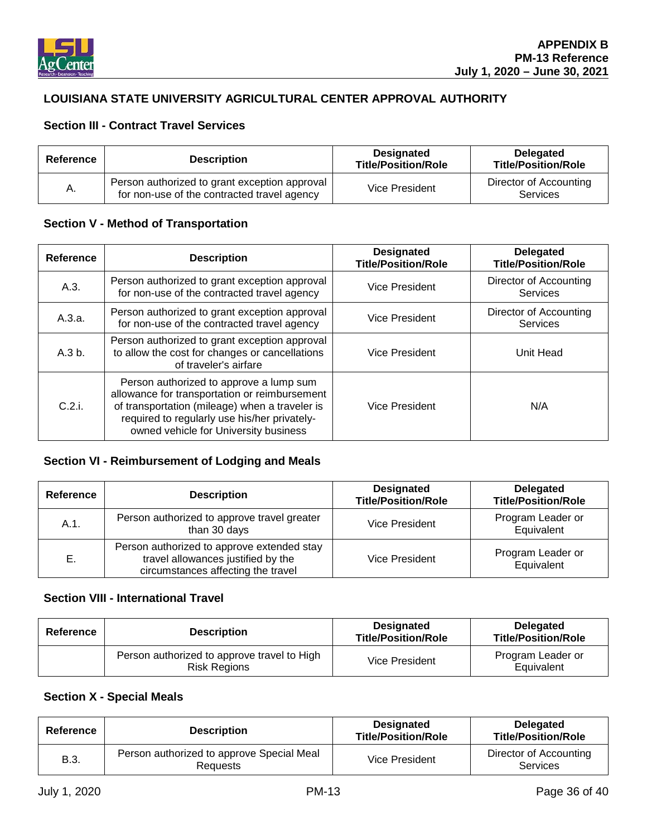

### **LOUISIANA STATE UNIVERSITY AGRICULTURAL CENTER APPROVAL AUTHORITY**

### **Section III - Contract Travel Services**

| Reference | <b>Description</b>                                                                           | <b>Designated</b><br><b>Title/Position/Role</b> | <b>Delegated</b><br><b>Title/Position/Role</b> |
|-----------|----------------------------------------------------------------------------------------------|-------------------------------------------------|------------------------------------------------|
| А.        | Person authorized to grant exception approval<br>for non-use of the contracted travel agency | Vice President                                  | Director of Accounting<br><b>Services</b>      |

#### **Section V - Method of Transportation**

| Reference | <b>Description</b>                                                                                                                                                                                                                  | <b>Designated</b><br><b>Title/Position/Role</b> | <b>Delegated</b><br><b>Title/Position/Role</b> |
|-----------|-------------------------------------------------------------------------------------------------------------------------------------------------------------------------------------------------------------------------------------|-------------------------------------------------|------------------------------------------------|
| A.3.      | Person authorized to grant exception approval<br>for non-use of the contracted travel agency                                                                                                                                        | <b>Vice President</b>                           | Director of Accounting<br><b>Services</b>      |
| A.3.a.    | Person authorized to grant exception approval<br>for non-use of the contracted travel agency                                                                                                                                        | Vice President                                  | Director of Accounting<br><b>Services</b>      |
| A.3 b.    | Person authorized to grant exception approval<br>to allow the cost for changes or cancellations<br>of traveler's airfare                                                                                                            | Vice President                                  | Unit Head                                      |
| C.2.i.    | Person authorized to approve a lump sum<br>allowance for transportation or reimbursement<br>of transportation (mileage) when a traveler is<br>required to regularly use his/her privately-<br>owned vehicle for University business | Vice President                                  | N/A                                            |

# **Section VI - Reimbursement of Lodging and Meals**

| Reference | <b>Description</b>                                                                                                     | <b>Designated</b><br><b>Title/Position/Role</b> | <b>Delegated</b><br><b>Title/Position/Role</b> |
|-----------|------------------------------------------------------------------------------------------------------------------------|-------------------------------------------------|------------------------------------------------|
| A.1.      | Person authorized to approve travel greater<br>than 30 days                                                            | Vice President                                  | Program Leader or<br>Equivalent                |
| Е.        | Person authorized to approve extended stay<br>travel allowances justified by the<br>circumstances affecting the travel | Vice President                                  | Program Leader or<br>Equivalent                |

#### **Section VIII - International Travel**

| Reference | <b>Description</b>                                                 | <b>Designated</b><br><b>Title/Position/Role</b> | Delegated<br><b>Title/Position/Role</b> |
|-----------|--------------------------------------------------------------------|-------------------------------------------------|-----------------------------------------|
|           | Person authorized to approve travel to High<br><b>Risk Regions</b> | Vice President                                  | Program Leader or<br>Equivalent         |

## **Section X - Special Meals**

| Reference | <b>Description</b>                                    | <b>Designated</b><br><b>Title/Position/Role</b> | <b>Delegated</b><br><b>Title/Position/Role</b> |
|-----------|-------------------------------------------------------|-------------------------------------------------|------------------------------------------------|
| B.3.      | Person authorized to approve Special Meal<br>Reauests | Vice President                                  | Director of Accounting<br>Services             |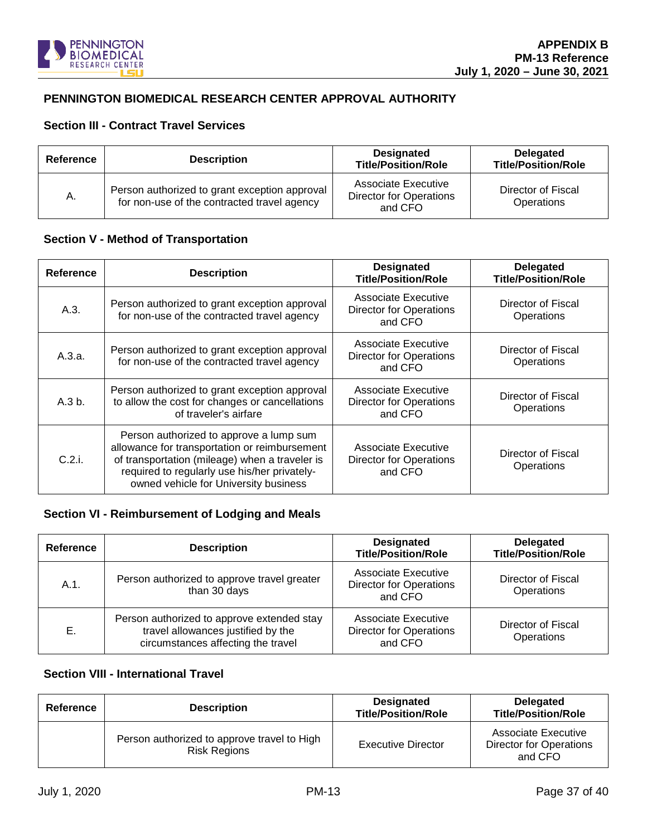

#### **PENNINGTON BIOMEDICAL RESEARCH CENTER APPROVAL AUTHORITY**

### **Section III - Contract Travel Services**

| Reference | <b>Description</b>                                                                           | <b>Designated</b><br><b>Title/Position/Role</b>                         | <b>Delegated</b><br><b>Title/Position/Role</b> |
|-----------|----------------------------------------------------------------------------------------------|-------------------------------------------------------------------------|------------------------------------------------|
| А.        | Person authorized to grant exception approval<br>for non-use of the contracted travel agency | <b>Associate Executive</b><br><b>Director for Operations</b><br>and CFO | Director of Fiscal<br>Operations               |

#### **Section V - Method of Transportation**

| Reference | <b>Description</b>                                                                                                                                                                                                                  | <b>Designated</b><br><b>Title/Position/Role</b>                  | <b>Delegated</b><br><b>Title/Position/Role</b> |
|-----------|-------------------------------------------------------------------------------------------------------------------------------------------------------------------------------------------------------------------------------------|------------------------------------------------------------------|------------------------------------------------|
| A.3.      | Person authorized to grant exception approval<br>for non-use of the contracted travel agency                                                                                                                                        | Associate Executive<br><b>Director for Operations</b><br>and CFO | Director of Fiscal<br>Operations               |
| A.3.a.    | Person authorized to grant exception approval<br>for non-use of the contracted travel agency                                                                                                                                        | Associate Executive<br><b>Director for Operations</b><br>and CFO | Director of Fiscal<br>Operations               |
| A.3 b.    | Person authorized to grant exception approval<br>to allow the cost for changes or cancellations<br>of traveler's airfare                                                                                                            | Associate Executive<br><b>Director for Operations</b><br>and CFO | Director of Fiscal<br>Operations               |
| C.2.i.    | Person authorized to approve a lump sum<br>allowance for transportation or reimbursement<br>of transportation (mileage) when a traveler is<br>required to regularly use his/her privately-<br>owned vehicle for University business | Associate Executive<br><b>Director for Operations</b><br>and CFO | Director of Fiscal<br>Operations               |

### **Section VI - Reimbursement of Lodging and Meals**

| Reference | <b>Description</b>                                                                                                     | <b>Designated</b><br><b>Title/Position/Role</b>                  | <b>Delegated</b><br><b>Title/Position/Role</b> |
|-----------|------------------------------------------------------------------------------------------------------------------------|------------------------------------------------------------------|------------------------------------------------|
| A.1.      | Person authorized to approve travel greater<br>than 30 days                                                            | Associate Executive<br><b>Director for Operations</b><br>and CFO | Director of Fiscal<br>Operations               |
| Е.        | Person authorized to approve extended stay<br>travel allowances justified by the<br>circumstances affecting the travel | Associate Executive<br><b>Director for Operations</b><br>and CFO | Director of Fiscal<br>Operations               |

| Reference | <b>Description</b>                                                 | <b>Designated</b><br><b>Title/Position/Role</b> | <b>Delegated</b><br><b>Title/Position/Role</b>                          |
|-----------|--------------------------------------------------------------------|-------------------------------------------------|-------------------------------------------------------------------------|
|           | Person authorized to approve travel to High<br><b>Risk Regions</b> | <b>Executive Director</b>                       | <b>Associate Executive</b><br><b>Director for Operations</b><br>and CFO |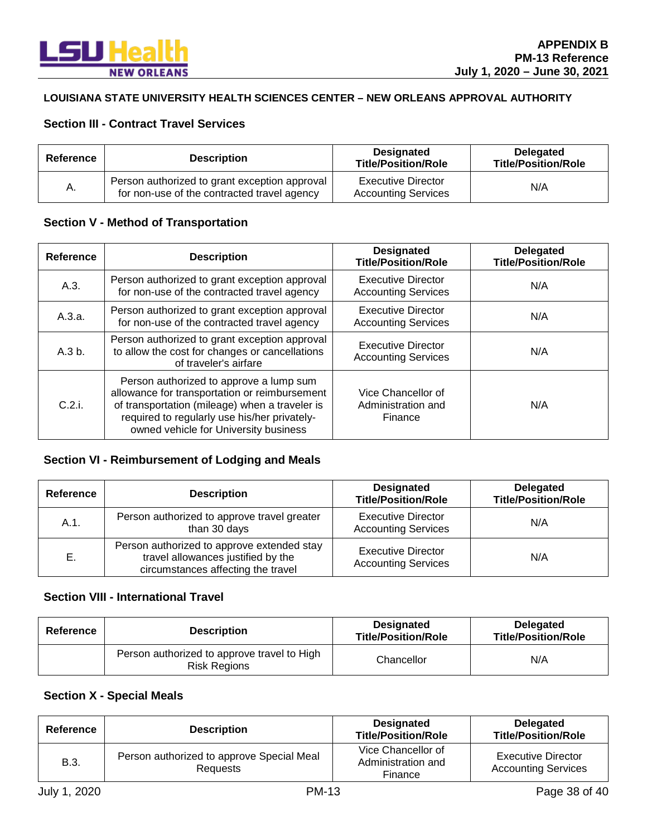

#### **LOUISIANA STATE UNIVERSITY HEALTH SCIENCES CENTER – NEW ORLEANS APPROVAL AUTHORITY**

### **Section III - Contract Travel Services**

| Reference | <b>Description</b>                                                                           | <b>Designated</b><br><b>Title/Position/Role</b>         | <b>Delegated</b><br><b>Title/Position/Role</b> |
|-----------|----------------------------------------------------------------------------------------------|---------------------------------------------------------|------------------------------------------------|
| А.        | Person authorized to grant exception approval<br>for non-use of the contracted travel agency | <b>Executive Director</b><br><b>Accounting Services</b> | N/A                                            |

### **Section V - Method of Transportation**

| Reference | <b>Description</b>                                                                                                                                                                                                                  | <b>Designated</b><br><b>Title/Position/Role</b>     | <b>Delegated</b><br><b>Title/Position/Role</b> |
|-----------|-------------------------------------------------------------------------------------------------------------------------------------------------------------------------------------------------------------------------------------|-----------------------------------------------------|------------------------------------------------|
| A.3.      | Person authorized to grant exception approval<br>for non-use of the contracted travel agency                                                                                                                                        | Executive Director<br><b>Accounting Services</b>    | N/A                                            |
| A.3.a.    | Person authorized to grant exception approval<br>for non-use of the contracted travel agency                                                                                                                                        | Executive Director<br><b>Accounting Services</b>    | N/A                                            |
| A.3 b.    | Person authorized to grant exception approval<br>to allow the cost for changes or cancellations<br>of traveler's airfare                                                                                                            | Executive Director<br><b>Accounting Services</b>    | N/A                                            |
| C.2.i.    | Person authorized to approve a lump sum<br>allowance for transportation or reimbursement<br>of transportation (mileage) when a traveler is<br>required to regularly use his/her privately-<br>owned vehicle for University business | Vice Chancellor of<br>Administration and<br>Finance | N/A                                            |

### **Section VI - Reimbursement of Lodging and Meals**

| Reference | <b>Description</b>                                                                                                     | <b>Designated</b><br><b>Title/Position/Role</b>         | <b>Delegated</b><br><b>Title/Position/Role</b> |
|-----------|------------------------------------------------------------------------------------------------------------------------|---------------------------------------------------------|------------------------------------------------|
| A.1.      | Person authorized to approve travel greater<br>than 30 days                                                            | <b>Executive Director</b><br><b>Accounting Services</b> | N/A                                            |
| Е.        | Person authorized to approve extended stay<br>travel allowances justified by the<br>circumstances affecting the travel | <b>Executive Director</b><br><b>Accounting Services</b> | N/A                                            |

#### **Section VIII - International Travel**

| Reference | <b>Description</b>                                                 | <b>Designated</b><br><b>Title/Position/Role</b> | <b>Delegated</b><br><b>Title/Position/Role</b> |
|-----------|--------------------------------------------------------------------|-------------------------------------------------|------------------------------------------------|
|           | Person authorized to approve travel to High<br><b>Risk Regions</b> | Chancellor                                      | N/A                                            |

### **Section X - Special Meals**

| Reference    | <b>Description</b>                                           | <b>Designated</b><br><b>Title/Position/Role</b>     | <b>Delegated</b><br><b>Title/Position/Role</b>          |
|--------------|--------------------------------------------------------------|-----------------------------------------------------|---------------------------------------------------------|
| B.3.         | Person authorized to approve Special Meal<br><b>Requests</b> | Vice Chancellor of<br>Administration and<br>Finance | <b>Executive Director</b><br><b>Accounting Services</b> |
| July 1, 2020 | <b>PM-13</b>                                                 |                                                     | Page 38 of 40                                           |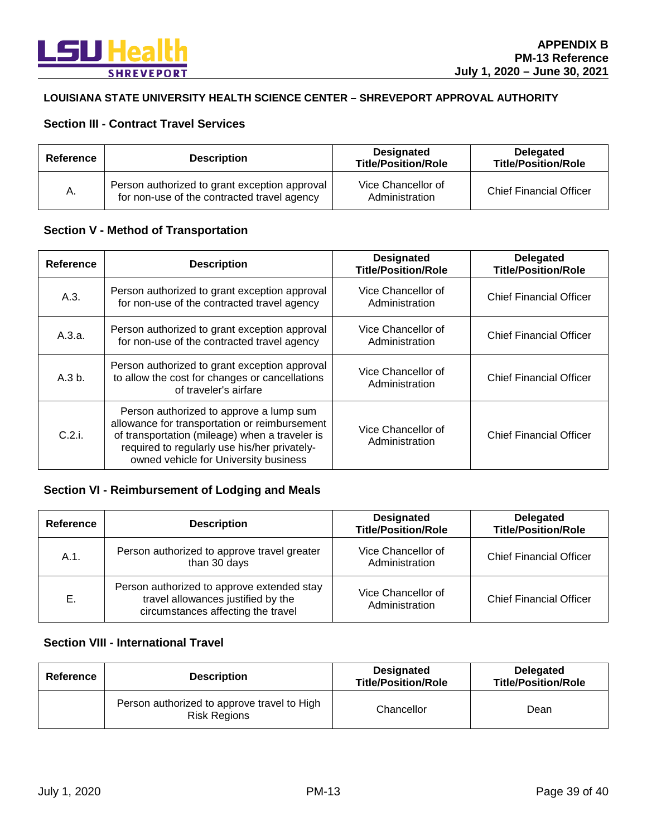

#### **LOUISIANA STATE UNIVERSITY HEALTH SCIENCE CENTER – SHREVEPORT APPROVAL AUTHORITY**

### **Section III - Contract Travel Services**

| Reference | <b>Description</b>                                                                           | <b>Designated</b><br><b>Title/Position/Role</b> | Delegated<br><b>Title/Position/Role</b> |
|-----------|----------------------------------------------------------------------------------------------|-------------------------------------------------|-----------------------------------------|
| А.        | Person authorized to grant exception approval<br>for non-use of the contracted travel agency | Vice Chancellor of<br>Administration            | <b>Chief Financial Officer</b>          |

#### **Section V - Method of Transportation**

| Reference | <b>Description</b>                                                                                                                                                                                                                  | <b>Designated</b><br><b>Title/Position/Role</b> | <b>Delegated</b><br><b>Title/Position/Role</b> |
|-----------|-------------------------------------------------------------------------------------------------------------------------------------------------------------------------------------------------------------------------------------|-------------------------------------------------|------------------------------------------------|
| A.3.      | Person authorized to grant exception approval<br>for non-use of the contracted travel agency                                                                                                                                        | Vice Chancellor of<br>Administration            | <b>Chief Financial Officer</b>                 |
| A.3.a.    | Person authorized to grant exception approval<br>for non-use of the contracted travel agency                                                                                                                                        | Vice Chancellor of<br>Administration            | <b>Chief Financial Officer</b>                 |
| A.3 b.    | Person authorized to grant exception approval<br>to allow the cost for changes or cancellations<br>of traveler's airfare                                                                                                            | Vice Chancellor of<br>Administration            | <b>Chief Financial Officer</b>                 |
| C.2.i.    | Person authorized to approve a lump sum<br>allowance for transportation or reimbursement<br>of transportation (mileage) when a traveler is<br>required to regularly use his/her privately-<br>owned vehicle for University business | Vice Chancellor of<br>Administration            | <b>Chief Financial Officer</b>                 |

# **Section VI - Reimbursement of Lodging and Meals**

| Reference | <b>Description</b>                                                                                                     | <b>Designated</b><br><b>Title/Position/Role</b> | <b>Delegated</b><br><b>Title/Position/Role</b> |
|-----------|------------------------------------------------------------------------------------------------------------------------|-------------------------------------------------|------------------------------------------------|
| A.1.      | Person authorized to approve travel greater<br>than 30 days                                                            | Vice Chancellor of<br>Administration            | <b>Chief Financial Officer</b>                 |
| Е.        | Person authorized to approve extended stay<br>travel allowances justified by the<br>circumstances affecting the travel | Vice Chancellor of<br>Administration            | <b>Chief Financial Officer</b>                 |

| Reference | <b>Description</b>                                                 | <b>Designated</b><br><b>Title/Position/Role</b> | <b>Delegated</b><br><b>Title/Position/Role</b> |
|-----------|--------------------------------------------------------------------|-------------------------------------------------|------------------------------------------------|
|           | Person authorized to approve travel to High<br><b>Risk Regions</b> | Chancellor                                      | Dean                                           |